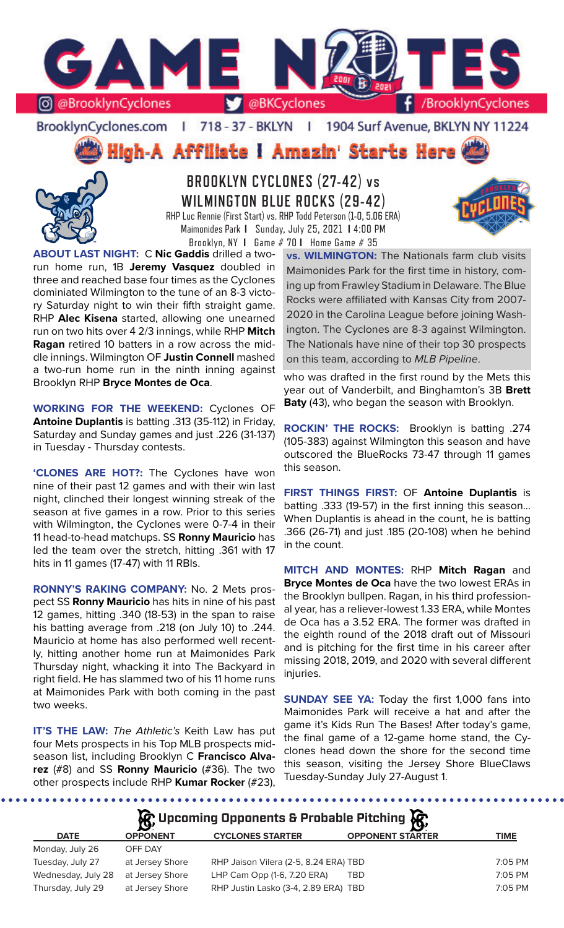

BrooklynCyclones.com | 718 - 37 - BKLYN | 1904 Surf Avenue, BKLYN NY 11224

High-A Affiliate I Amazin' Starts Here



**BROOKLYN CYCLONES (27-42) vs WILMINGTON BLUE ROCKS (29-42)** RHP Luc Rennie (First Start) vs. RHP Todd Peterson (1-0, 5.06 ERA) Maimonides Park **I** Sunday, July 25, 2021 **I** 4:00 PM



**ABOUT LAST NIGHT:** C **Nic Gaddis** drilled a tworun home run, 1B **Jeremy Vasquez** doubled in three and reached base four times as the Cyclones dominiated Wilmington to the tune of an 8-3 victory Saturday night to win their fifth straight game. RHP **Alec Kisena** started, allowing one unearned run on two hits over 4 2/3 innings, while RHP **Mitch Ragan** retired 10 batters in a row across the middle innings. Wilmington OF **Justin Connell** mashed a two-run home run in the ninth inning against Brooklyn RHP **Bryce Montes de Oca**.

**WORKING FOR THE WEEKEND:** Cyclones OF **Antoine Duplantis** is batting .313 (35-112) in Friday, Saturday and Sunday games and just .226 (31-137) in Tuesday - Thursday contests.

**'CLONES ARE HOT?:** The Cyclones have won nine of their past 12 games and with their win last night, clinched their longest winning streak of the season at five games in a row. Prior to this series with Wilmington, the Cyclones were 0-7-4 in their 11 head-to-head matchups. SS **Ronny Mauricio** has led the team over the stretch, hitting .361 with 17 hits in 11 games (17-47) with 11 RBIs.

**RONNY'S RAKING COMPANY:** No. 2 Mets prospect SS **Ronny Mauricio** has hits in nine of his past 12 games, hitting .340 (18-53) in the span to raise his batting average from .218 (on July 10) to .244. Mauricio at home has also performed well recently, hitting another home run at Maimonides Park Thursday night, whacking it into The Backyard in right field. He has slammed two of his 11 home runs at Maimonides Park with both coming in the past two weeks.

**IT'S THE LAW:** *The Athletic's* Keith Law has put four Mets prospects in his Top MLB prospects midseason list, including Brooklyn C **Francisco Alvarez** (#8) and SS **Ronny Mauricio** (#36). The two other prospects include RHP **Kumar Rocker** (#23),

Brooklyn, NY **I** Game # 70 **I** Home Game # 35 **vs. WILMINGTON:** The Nationals farm club visits Maimonides Park for the first time in history, coming up from Frawley Stadium in Delaware. The Blue Rocks were affiliated with Kansas City from 2007- 2020 in the Carolina League before joining Washington. The Cyclones are 8-3 against Wilmington. The Nationals have nine of their top 30 prospects on this team, according to *MLB Pipeline*.

> who was drafted in the first round by the Mets this year out of Vanderbilt, and Binghamton's 3B **Brett Baty** (43), who began the season with Brooklyn.

> **ROCKIN' THE ROCKS:** Brooklyn is batting .274 (105-383) against Wilmington this season and have outscored the BlueRocks 73-47 through 11 games this season.

> **FIRST THINGS FIRST:** OF **Antoine Duplantis** is batting .333 (19-57) in the first inning this season... When Duplantis is ahead in the count, he is batting .366 (26-71) and just .185 (20-108) when he behind in the count.

> **MITCH AND MONTES:** RHP **Mitch Ragan** and **Bryce Montes de Oca** have the two lowest ERAs in the Brooklyn bullpen. Ragan, in his third professional year, has a reliever-lowest 1.33 ERA, while Montes de Oca has a 3.52 ERA. The former was drafted in the eighth round of the 2018 draft out of Missouri and is pitching for the first time in his career after missing 2018, 2019, and 2020 with several different injuries.

> **SUNDAY SEE YA: Today the first 1,000 fans into** Maimonides Park will receive a hat and after the game it's Kids Run The Bases! After today's game, the final game of a 12-game home stand, the Cyclones head down the shore for the second time this season, visiting the Jersey Shore BlueClaws Tuesday-Sunday July 27-August 1.

**DATE OPPONENT CYCLONES STARTER OPPONENT STARTER TIME** Monday, July 26 OFF DAY Tuesday, July 27 at Jersey Shore RHP Jaison Vilera (2-5, 8.24 ERA) TBD 7:05 PM Wednesday, July 28 at Jersey Shore LHP Cam Opp (1-6, 7.20 ERA) TBD 7:05 PM Thursday, July 29 at Jersey Shore RHP Justin Lasko (3-4, 2.89 ERA) TBD 7:05 PM **Upcoming Opponents & Probable Pitching**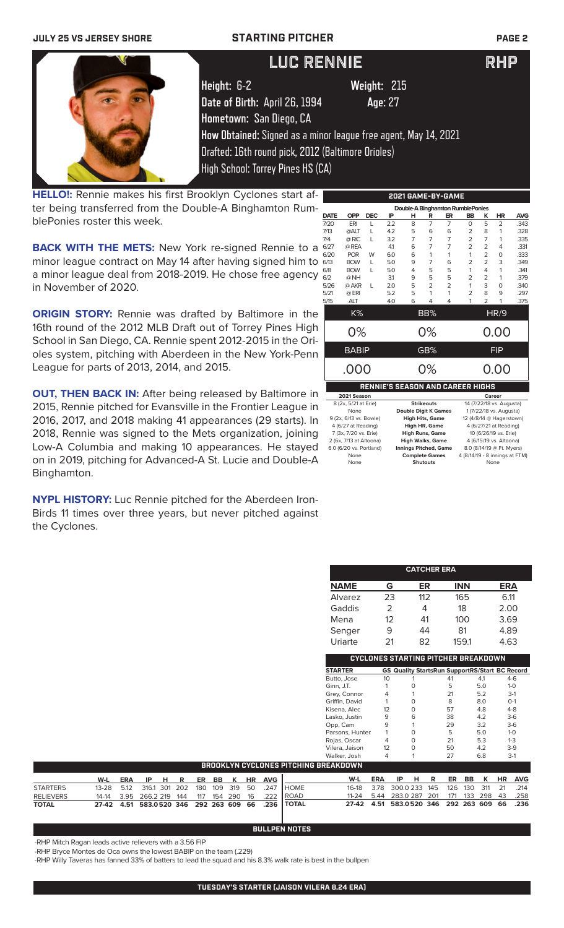# **JULY 25 VS JERSEY SHORE STARTING PITCHER PAGE 2 Height:** 6-2 **Weight:** 215 **Date of Birth:** April 26, 1994 **Age**: 27 **Hometown:** San Diego, CA **How Obtained:** Signed as a minor league free agent, May 14, 2021 Drafted: 16th round pick, 2012 (Baltimore Orioles) High School: Torrey Pines HS (CA) LUC RENNIE RHP

**HELLO!:** Rennie makes his first Brooklyn Cyclones start after being transferred from the Double-A Binghamton RumblePonies roster this week.

**BACK WITH THE METS:** New York re-signed Rennie to a minor league contract on May 14 after having signed him to a minor league deal from 2018-2019. He chose free agency in November of 2020.

**ORIGIN STORY:** Rennie was drafted by Baltimore in the 16th round of the 2012 MLB Draft out of Torrey Pines High School in San Diego, CA. Rennie spent 2012-2015 in the Orioles system, pitching with Aberdeen in the New York-Penn League for parts of 2013, 2014, and 2015.

**OUT, THEN BACK IN:** After being released by Baltimore in 2015, Rennie pitched for Evansville in the Frontier League in 2016, 2017, and 2018 making 41 appearances (29 starts). In 2018, Rennie was signed to the Mets organization, joining Low-A Columbia and making 10 appearances. He stayed on in 2019, pitching for Advanced-A St. Lucie and Double-A Binghamton.

**NYPL HISTORY:** Luc Rennie pitched for the Aberdeen Iron-Birds 11 times over three years, but never pitched against the Cyclones.

|             | Double-A Binghamton RumblePonies              |            |                                         |                                                |                   |                |                |                |                                                    |                                |
|-------------|-----------------------------------------------|------------|-----------------------------------------|------------------------------------------------|-------------------|----------------|----------------|----------------|----------------------------------------------------|--------------------------------|
| <b>DATE</b> | <b>OPP</b>                                    | <b>DEC</b> | IP                                      | н                                              | R                 | ER             | <b>BB</b>      | ĸ              | <b>HR</b>                                          | <b>AVG</b>                     |
| 7/20        | ERI                                           | L          | 22                                      | 8                                              | $\overline{7}$    | $\overline{7}$ | $\Omega$       | 5              | $\overline{2}$                                     | .343                           |
| 7/13        | @ALT                                          | L          | 4.2                                     | 5                                              | 6                 | 6              | 2              | 8              | 1                                                  | 328                            |
| 7/4         | @ RIC                                         | L          | 3.2                                     | $\overline{7}$                                 | $\overline{7}$    | 7              | $\overline{2}$ | $\overline{7}$ | 1                                                  | 335                            |
| 6/27        | @ REA                                         |            | 41                                      | 6                                              | $\overline{7}$    | 7              | $\overline{2}$ | 2              | 4                                                  | .331                           |
| 6/20        | <b>POR</b>                                    | W          | 6.0                                     | 6                                              | 1                 | 1              | 1              | $\overline{2}$ | $\Omega$                                           | .333                           |
| 6/13        | <b>BOW</b>                                    | L          | 5.0                                     | 9                                              | 7                 | 6              | $\overline{2}$ | $\overline{2}$ | 3                                                  | .349                           |
| 6/8         | <b>BOW</b>                                    | L          | 5.0                                     | 4                                              | 5                 | 5              | 1              | 4              | 1                                                  | .341                           |
| 6/2         | @NH                                           |            | 31                                      | 9                                              | 5                 | 5              | $\overline{2}$ | 2              | 1                                                  | .379                           |
| 5/26        | @ AKR                                         | L          | 2.0                                     | 5                                              | $\mathfrak{D}$    | $\overline{2}$ | 1              | 3              | $\Omega$                                           | .340                           |
| 5/21        | @ ERI                                         |            | 5.2                                     | 5                                              | 1                 | 1              | $\overline{2}$ | 8              | 9                                                  | .297                           |
| 5/15        | ALT                                           |            | 4.0                                     | 6                                              | 4                 | 4              | 1              | $\overline{2}$ | 1                                                  | .375                           |
|             | K%                                            |            |                                         |                                                | BB%               |                |                |                | HR/9                                               |                                |
| 0%          |                                               |            |                                         |                                                | 0%                |                | 0.00           |                |                                                    |                                |
|             | <b>BABIP</b>                                  |            |                                         |                                                | GB%               |                | <b>FIP</b>     |                |                                                    |                                |
|             | .000                                          |            |                                         |                                                | 0%                |                |                |                | 0.00                                               |                                |
|             |                                               |            | <b>RENNIE'S SEASON AND CAREER HIGHS</b> |                                                |                   |                |                |                |                                                    |                                |
|             | 2021 Season                                   |            |                                         |                                                |                   |                |                |                | Career                                             |                                |
|             | 8 (2x, 5/21 at Erie)                          |            |                                         |                                                | <b>Strikeouts</b> |                |                |                | 14 (7/22/18 vs. Augusta)                           |                                |
|             | None                                          |            |                                         | <b>Double Digit K Games</b>                    |                   |                |                |                | 1 (7/22/18 vs. Augusta)                            |                                |
|             | 9 (2x, 6/13 vs. Bowie)<br>4 (6/27 at Reading) |            |                                         | <b>High Hits, Game</b><br><b>High HR, Game</b> |                   |                |                |                | 12 (4/8/14 @ Hagerstown)<br>4 (6/27/21 at Reading) |                                |
|             | 7 (3x, 7/20 vs. Erie)                         |            |                                         | <b>High Runs, Game</b>                         |                   |                |                |                | 10 (6/26/19 vs. Erie)                              |                                |
|             | 2 (6x, 7/13 at Altoona)                       |            |                                         | <b>High Walks, Game</b>                        |                   |                |                |                | 4 (6/15/19 vs. Altoona)                            |                                |
|             | 6.0 (6/20 vs. Portland)                       |            |                                         | <b>Innings Pitched, Game</b>                   |                   |                |                |                | 8.0 (8/14/19 @ Ft. Myers)                          |                                |
|             | None                                          |            |                                         | <b>Complete Games</b>                          |                   |                |                |                |                                                    | 4 (8/14/19 - 8 innings at FTM) |
|             | None                                          |            |                                         |                                                | <b>Shutouts</b>   |                |                |                | None                                               |                                |

**2021 GAME-BY-GAME**

|              |                                            |                                                |              | <b>CATCHER ERA</b> |           |             |     |            |            |  |  |
|--------------|--------------------------------------------|------------------------------------------------|--------------|--------------------|-----------|-------------|-----|------------|------------|--|--|
|              | <u>NAME</u>                                |                                                | G            | ER                 |           | <b>INN</b>  |     | <u>ERA</u> |            |  |  |
|              | Alvarez                                    |                                                | 23           | 112                |           | 165         |     | 6.11       |            |  |  |
|              | Gaddis                                     |                                                | 2            | 4                  |           | 18          |     | 2.00       |            |  |  |
|              | Mena                                       |                                                | 12           | 41                 |           | 100         |     | 3.69       |            |  |  |
|              | Senger                                     |                                                | 9            | 44                 |           | 81          |     | 4.89       |            |  |  |
|              | Uriarte                                    |                                                | 21           | 82                 |           | 159.1       |     | 4.63       |            |  |  |
|              | <b>CYCLONES STARTING PITCHER BREAKDOWN</b> |                                                |              |                    |           |             |     |            |            |  |  |
|              | <b>STARTER</b>                             | GS Quality StartsRun SupportRS/Start BC Record |              |                    |           |             |     |            |            |  |  |
|              | Butto, Jose                                | 10                                             | 1            |                    | 41        |             | 4.1 |            | $4-6$      |  |  |
|              | Ginn, J.T.                                 | 1                                              | 0            |                    | 5         |             | 5.0 |            | $1-0$      |  |  |
|              | Grey, Connor                               | 4                                              | 1            |                    | 21        |             | 5.2 |            | $3-1$      |  |  |
|              | Griffin, David                             | 1                                              | 0            |                    | 8         |             | 8.0 |            | $O-1$      |  |  |
|              | Kisena, Alec                               | 12                                             | 0            |                    | 57        |             | 4.8 |            | $4 - 8$    |  |  |
|              | Lasko, Justin                              | 9                                              | 6            |                    | 38        |             | 4.2 |            | $3-6$      |  |  |
|              | Opp, Cam                                   | 9                                              | 1            |                    | 29        |             | 3.2 |            | $3-6$      |  |  |
|              | Parsons, Hunter                            | 1                                              | 0            |                    | 5         |             | 5.0 |            | $1-0$      |  |  |
|              | Rojas, Oscar                               | 4                                              | O            |                    | 21        |             | 5.3 |            | $1 - 3$    |  |  |
|              | Vilera, Jaison                             | 12                                             | 0            |                    | 50        |             | 4.2 |            | $3-9$      |  |  |
|              | Walker, Josh                               | 4                                              | 1            |                    | 27        |             | 6.8 |            | $3-1$      |  |  |
|              | <b>ITCHING BREAKDOWN</b>                   |                                                |              |                    |           |             |     |            |            |  |  |
|              | W-L                                        | <b>ERA</b>                                     | IP<br>н      | R                  | <b>ER</b> | <b>BB</b>   | ĸ   | <b>HR</b>  | <b>AVG</b> |  |  |
| <b>HOME</b>  | $16-18$                                    | 3.78                                           | 300.0 233    | 145                | 126       | 130         | 311 | 21         | .214       |  |  |
| ROAD         | $11 - 24$                                  | 5.44                                           | 283.0 287    | 201                | 171       | 133         | 298 | 43         | .258       |  |  |
| <b>TOTAL</b> | $27-42$                                    | 4.51                                           | 583.0520 346 |                    |           | 292 263 609 |     | 66         | .236       |  |  |

| BULLPEN NOTES |  |
|---------------|--|

**BROOKLYN CYCLONES PITCHING BR** 

-RHP Mitch Ragan leads active relievers with a 3.56 FIP -RHP Bryce Montes de Oca owns the lowest BABIP on the team (.229)

-RHP Willy Taveras has fanned 33% of batters to lead the squad and his 8.3% walk rate is best in the bullpen

**W-L ERA IP H R ER BB K HR AVG**

STARTERS 13-28 5.12 316.1 301 202 180 109 319 50 .247 RELIEVERS 14-14 3.95 266.2 219 144 117 154 290 16 .222<br>**TOTAL 27-42 4.51 583.0 520 346 292 263 609 66 .236 TOTAL 27-42 4.51 583.0520 346 292 263 609 66 .236**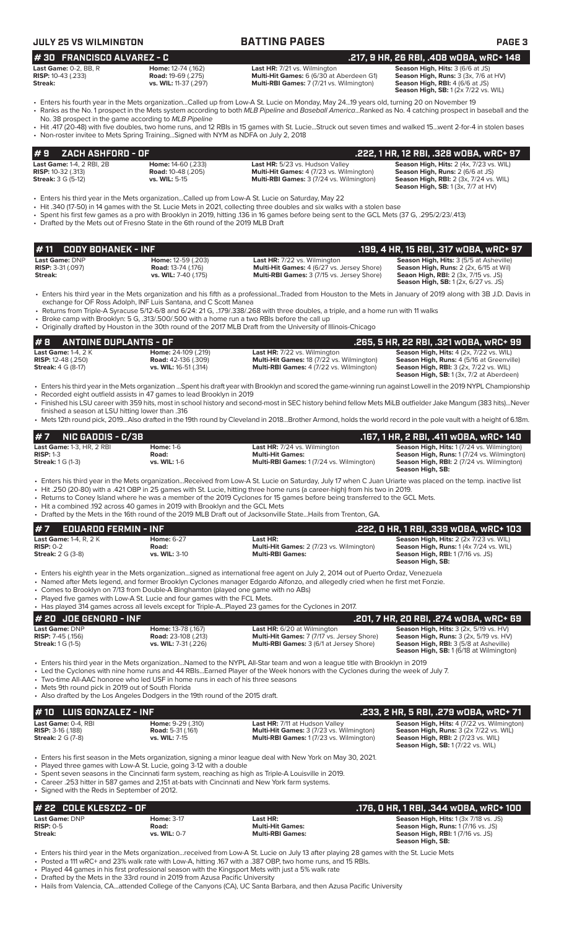| <b>JULY 25 VS WILMINGTON</b>                                                                                                                                                                                             |                                                                            | <b>BATTING PAGES</b>                                                                                                                                                                                                                                                                                                                                                                                                                                                                                                                          | <b>PAGE 3</b>                                                                                                                                                                     |
|--------------------------------------------------------------------------------------------------------------------------------------------------------------------------------------------------------------------------|----------------------------------------------------------------------------|-----------------------------------------------------------------------------------------------------------------------------------------------------------------------------------------------------------------------------------------------------------------------------------------------------------------------------------------------------------------------------------------------------------------------------------------------------------------------------------------------------------------------------------------------|-----------------------------------------------------------------------------------------------------------------------------------------------------------------------------------|
| #30 FRANCISCO ALVAREZ - C                                                                                                                                                                                                |                                                                            |                                                                                                                                                                                                                                                                                                                                                                                                                                                                                                                                               | .217, 9 HR, 26 RBI, .408 w0BA, wRC+ 148                                                                                                                                           |
| Last Game: 0-2, BB, R<br><b>RISP:</b> 10-43 (.233)<br>Streak:                                                                                                                                                            | Home: 12-74 (.162)<br><b>Road: 19-69 (.275)</b><br>vs. WIL: 11-37 (.297)   | Last HR: 7/21 vs. Wilmington<br>Multi-Hit Games: 6 (6/30 at Aberdeen G1)<br>Multi-RBI Games: 7 (7/21 vs. Wilmington)                                                                                                                                                                                                                                                                                                                                                                                                                          | Season High, Hits: 3 (6/6 at JS)<br>Season High, Runs: 3 (3x, 7/6 at HV)<br>Season High, RBI: 4 (6/6 at JS)<br><b>Season High, SB:</b> 1 (2x 7/22 vs. WIL)                        |
| No. 38 prospect in the game according to MLB Pipeline                                                                                                                                                                    |                                                                            | • Enters his fourth year in the Mets organizationCalled up from Low-A St. Lucie on Monday, May 2419 years old, turning 20 on November 19<br>• Ranks as the No. 1 prospect in the Mets system according to both MLB Pipeline and Baseball AmericaRanked as No. 4 catching prospect in baseball and the                                                                                                                                                                                                                                         |                                                                                                                                                                                   |
| • Non-roster invitee to Mets Spring TrainingSigned with NYM as NDFA on July 2, 2018                                                                                                                                      |                                                                            | • Hit .417 (20-48) with five doubles, two home runs, and 12 RBIs in 15 games with St. LucieStruck out seven times and walked 15went 2-for-4 in stolen bases                                                                                                                                                                                                                                                                                                                                                                                   |                                                                                                                                                                                   |
| ZACH ASHFORD - OF<br>#9                                                                                                                                                                                                  |                                                                            |                                                                                                                                                                                                                                                                                                                                                                                                                                                                                                                                               | .222, 1 HR, 12 RBI, .328 wOBA, wRC+ 97                                                                                                                                            |
| Last Game: 1-4, 2 RBI, 2B<br><b>RISP:</b> 10-32 (.313)<br><b>Streak:</b> 3 G (5-12)                                                                                                                                      | Home: 14-60 (.233)<br><b>Road:</b> 10-48 (.205)<br>vs. WIL: 5-15           | Last HR: 5/23 vs. Hudson Valley<br>Multi-Hit Games: 4 (7/23 vs. Wilmington)<br>Multi-RBI Games: 3 (7/24 vs. Wilmington)                                                                                                                                                                                                                                                                                                                                                                                                                       | Season High, Hits: 2 (4x, 7/23 vs. WIL)<br>Season High, Runs: 2 (6/6 at JS)<br><b>Season High, RBI: 2 (3x, 7/24 vs. WIL)</b><br><b>Season High, SB:</b> 1 (3x, 7/7 at HV)         |
| Enters his third year in the Mets organizationCalled up from Low-A St. Lucie on Saturday, May 22<br>• Drafted by the Mets out of Fresno State in the 6th round of the 2019 MLB Draft                                     |                                                                            | • Hit .340 (17-50) in 14 games with the St. Lucie Mets in 2021, collecting three doubles and six walks with a stolen base<br>• Spent his first few games as a pro with Brooklyn in 2019, hitting .136 in 16 games before being sent to the GCL Mets (37 G, .295/2/23/.413)                                                                                                                                                                                                                                                                    |                                                                                                                                                                                   |
| <b>CODY BOHANEK - INF</b><br>#11                                                                                                                                                                                         |                                                                            |                                                                                                                                                                                                                                                                                                                                                                                                                                                                                                                                               | .199, 4 HR, 15 RBI, .317 wOBA, wRC+ 97                                                                                                                                            |
| Last Game: DNP<br><b>RISP: 3-31 (.097)</b><br>Streak:                                                                                                                                                                    | Home: 12-59 (.203)<br><b>Road: 13-74 (.176)</b><br>vs. WIL: 7-40 (.175)    | Last HR: 7/22 vs. Wilmington<br>Multi-Hit Games: 4 (6/27 vs. Jersey Shore)<br>Multi-RBI Games: 3 (7/15 vs. Jersey Shore)                                                                                                                                                                                                                                                                                                                                                                                                                      | Season High, Hits: 3 (5/5 at Asheville)<br>Season High, Runs: 2 (2x, 6/15 at Wil)<br>Seaon High, RBI: 2 (3x, 7/15 vs. JS)<br>Season High, SB: 1 (2x, 6/27 vs. JS)                 |
| exchange for OF Ross Adolph, INF Luis Santana, and C Scott Manea<br>• Broke camp with Brooklyn: 5 G, .313/.500/.500 with a home run a two RBIs before the call up                                                        |                                                                            | • Enters his third year in the Mets organization and his fifth as a professionalTraded from Houston to the Mets in January of 2019 along with 3B J.D. Davis in<br>• Returns from Triple-A Syracuse 5/12-6/8 and 6/24: 21 G, 179/.338/.268 with three doubles, a triple, and a home run with 11 walks<br>• Originally drafted by Houston in the 30th round of the 2017 MLB Draft from the University of Illinois-Chicago                                                                                                                       |                                                                                                                                                                                   |
| <b>ANTOINE DUPLANTIS - OF</b><br>#8                                                                                                                                                                                      |                                                                            |                                                                                                                                                                                                                                                                                                                                                                                                                                                                                                                                               | .265, 5 HR, 22 RBI, .321 wOBA, wRC+ 99                                                                                                                                            |
| <b>Last Game: 1-4, 2 K</b><br><b>RISP:</b> 12-48 (.250)<br><b>Streak: 4 G (8-17)</b>                                                                                                                                     | Home: 24-109 (.219)<br><b>Road:</b> 42-136 (.309)<br>vs. WIL: 16-51 (.314) | Last HR: 7/22 vs. Wilmington<br>Multi-Hit Games: 18 (7/22 vs. Wilmington)<br>Multi-RBI Games: 4 (7/22 vs. Wilmington)                                                                                                                                                                                                                                                                                                                                                                                                                         | Season High, Hits: 4 (2x, 7/22 vs. WIL)<br>Season High, Runs: 4 (5/16 at Greenville)<br><b>Season High, RBI: 3 (2x, 7/22 vs. WIL)</b><br>Season High, SB: 1 (3x, 7/2 at Aberdeen) |
| • Recorded eight outfield assists in 47 games to lead Brooklyn in 2019<br>finished a season at LSU hitting lower than .316                                                                                               |                                                                            | · Enters his third year in the Mets organization Spent his draft year with Brooklyn and scored the game-winning run against Lowell in the 2019 NYPL Championship<br>• Finished his LSU career with 359 hits, most in school history and second-most in SEC history behind fellow Mets MiLB outfielder Jake Mangum (383 hits)Never                                                                                                                                                                                                             |                                                                                                                                                                                   |
|                                                                                                                                                                                                                          |                                                                            | • Mets 12th round pick, 2019Also drafted in the 19th round by Cleveland in 2018Brother Armond, holds the world record in the pole vault with a height of 6.18m.                                                                                                                                                                                                                                                                                                                                                                               |                                                                                                                                                                                   |
| <b>NIC GADDIS - C/3B</b><br>#7                                                                                                                                                                                           |                                                                            |                                                                                                                                                                                                                                                                                                                                                                                                                                                                                                                                               | .167, 1 HR, 2 RBI, .411 WOBA, WRC+ 140                                                                                                                                            |
| Last Game: 1-3, HR, 2 RBI<br><b>RISP: 1-3</b><br><b>Streak:</b> 1 G (1-3)                                                                                                                                                | <b>Home: 1-6</b><br>Road:<br><b>vs. WIL: 1-6</b>                           | Last HR: 7/24 vs. Wilmington<br><b>Multi-Hit Games:</b><br>Multi-RBI Games: 1 (7/24 vs. Wilmington)                                                                                                                                                                                                                                                                                                                                                                                                                                           | Season High, Hits: 1 (7/24 vs. Wilmington)<br>Season High, Runs: 1 (7/24 vs. Wilmington)<br>Season High, RBI: 2 (7/24 vs. Wilmington)<br>Season High, SB:                         |
| • Hit a combined .192 across 40 games in 2019 with Brooklyn and the GCL Mets                                                                                                                                             |                                                                            | • Enters his third year in the Mets organizationReceived from Low-A St. Lucie on Saturday, July 17 when C Juan Uriarte was placed on the temp. inactive list<br>• Hit .250 (20-80) with a .421 OBP in 25 games with St. Lucie, hitting three home runs (a career-high) from his two in 2019.<br>• Returns to Coney Island where he was a member of the 2019 Cyclones for 15 games before being transferred to the GCL Mets.<br>• Drafted by the Mets in the 16th round of the 2019 MLB Draft out of Jacksonville StateHails from Trenton, GA. |                                                                                                                                                                                   |
| #7<br><b>EDUARDO FERMIN - INF</b>                                                                                                                                                                                        |                                                                            |                                                                                                                                                                                                                                                                                                                                                                                                                                                                                                                                               | .222, 0 HR, 1 RBI, .339 wOBA, wRC+ 103                                                                                                                                            |
| <b>Last Game: 1-4, R, 2 K</b><br><b>RISP: 0-2</b><br><b>Streak:</b> 2 G (3-8)                                                                                                                                            | <b>Home: 6-27</b><br>Road:<br>vs. WIL: 3-10                                | Last HR:<br>Multi-Hit Games: 2 (7/23 vs. Wilmington)<br><b>Multi-RBI Games:</b>                                                                                                                                                                                                                                                                                                                                                                                                                                                               | Season High, Hits: 2 (2x 7/23 vs. WIL)<br>Season High, Runs: 1 (4x 7/24 vs. WIL)<br><b>Season High, RBI:</b> 1 (7/16 vs. JS)<br>Season High, SB:                                  |
| • Comes to Brooklyn on 7/13 from Double-A Binghamton (played one game with no ABs)<br>• Played five games with Low-A St. Lucie and four games with the FCL Mets.                                                         |                                                                            | • Enters his eighth year in the Mets organizationsigned as international free agent on July 2, 2014 out of Puerto Ordaz, Venezuela<br>• Named after Mets legend, and former Brooklyn Cyclones manager Edgardo Alfonzo, and allegedly cried when he first met Fonzie.<br>• Has played 314 games across all levels except for Triple-APlayed 23 games for the Cyclones in 2017.                                                                                                                                                                 |                                                                                                                                                                                   |
| # 20 JOE GENORD - INF                                                                                                                                                                                                    |                                                                            |                                                                                                                                                                                                                                                                                                                                                                                                                                                                                                                                               | .201, 7 HR, 20 RBI, .274 w0BA, wRC+ 69                                                                                                                                            |
| Last Game: DNP<br><b>RISP:</b> 7-45 (.156)<br><b>Streak:</b> 1 G (1-5)                                                                                                                                                   | Home: 13-78 (.167)<br><b>Road:</b> 23-108 (.213)<br>vs. WIL: 7-31 (.226)   | Last HR: 6/20 at Wilmington<br>Multi-Hit Games: 7 (7/17 vs. Jersey Shore)<br>Multi-RBI Games: 3 (6/1 at Jersey Shore)                                                                                                                                                                                                                                                                                                                                                                                                                         | Season High, Hits: 3 (2x, 5/19 vs. HV)<br>Season High, Runs: 3 (2x, 5/19 vs. HV)<br>Season High, RBI: 3 (5/8 at Asheville)<br><b>Season High, SB:</b> 1 (6/18 at Wilmington)      |
| • Two-time All-AAC honoree who led USF in home runs in each of his three seasons<br>• Mets 9th round pick in 2019 out of South Florida<br>• Also drafted by the Los Angeles Dodgers in the 19th round of the 2015 draft. |                                                                            | • Enters his third year in the Mets organizationNamed to the NYPL All-Star team and won a league title with Brooklyn in 2019<br>• Led the Cyclones with nine home runs and 44 RBIsEarned Player of the Week honors with the Cyclones during the week of July 7.                                                                                                                                                                                                                                                                               |                                                                                                                                                                                   |
| <b>LUIS GONZALEZ - INF</b><br># 10                                                                                                                                                                                       |                                                                            |                                                                                                                                                                                                                                                                                                                                                                                                                                                                                                                                               | .233, 2 HR, 5 RBI, .279 wOBA, wRC+ 71                                                                                                                                             |
| Last Game: 0-4, RBI<br><b>RISP: 3-16 (.188)</b><br><b>Streak:</b> 2 G (7-8)                                                                                                                                              | Home: 9-29 (.310)<br><b>Road:</b> 5-31 (.161)<br>vs. WIL: 7-15             | Last HR: 7/11 at Hudson Valley<br>Multi-Hit Games: 3 (7/23 vs. Wilmington)<br>Multi-RBI Games: 1 (7/23 vs. Wilmington)                                                                                                                                                                                                                                                                                                                                                                                                                        | Season High, Hits: 4 (7/22 vs. Wilmington)<br>Season High, Runs: 3 (2x 7/22 vs. WIL)<br><b>Season High, RBI:</b> 2 (7/23 vs. WIL)<br><b>Season High, SB:</b> 1 (7/22 vs. WIL)     |
| • Played three games with Low-A St. Lucie, going 3-12 with a double                                                                                                                                                      |                                                                            | • Enters his first season in the Mets organization, signing a minor league deal with New York on May 30, 2021.                                                                                                                                                                                                                                                                                                                                                                                                                                |                                                                                                                                                                                   |

• Spent seven seasons in the Cincinnati farm system, reaching as high as Triple-A Louisville in 2019.

• Career .253 hitter in 587 games and 2,151 at-bats with Cincinnati and New York farm systems. • Signed with the Reds in September of 2012.

| # 22   COLE KLESZCZ - OF |                   |                         | .176. O HR. 1 RBI. .344 WOBA. WRC+ 100       |
|--------------------------|-------------------|-------------------------|----------------------------------------------|
| Last Game: DNP           | <b>Home: 3-17</b> | Last HR:                | <b>Season High, Hits: 1 (3x 7/18 vs. JS)</b> |
| $RISP: 0-5$              | Road:             | <b>Multi-Hit Games:</b> | <b>Season High, Runs: 1 (7/16 vs. JS)</b>    |
| Streak:                  | vs. WIL: 0-7      | <b>Multi-RBI Games:</b> | <b>Season High, RBI:</b> 1 (7/16 vs. JS)     |
|                          |                   |                         | Season High, SB:                             |

• Enters his third year in the Mets organization...received from Low-A St. Lucie on July 13 after playing 28 games with the St. Lucie Mets

• Posted a 111 wRC+ and 23% walk rate with Low-A, hitting .167 with a .387 OBP, two home runs, and 15 RBIs.

• Played 44 games in his first professional season with the Kingsport Mets with just a 5% walk rate • Drafted by the Mets in the 33rd round in 2019 from Azusa Pacific University

• Hails from Valencia, CA...attended College of the Canyons (CA), UC Santa Barbara, and then Azusa Pacific University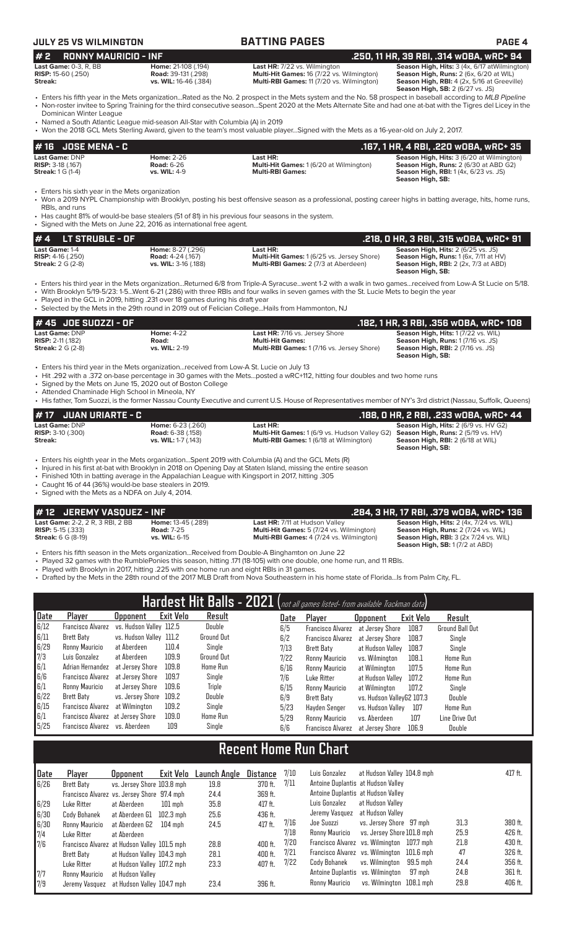# **JULY 25 VS WILMINGTON BATTING PAGES PAGE 4**

### **# 16 JOSE MENA - C**<br> **167, 1 HR, 4 RBI, .220 wOBA, wRC+ 35**<br> **RISP:** 3-18 (.167) **167, 1 HR, 4 RBI, .220 wOBA, wRC+ 35**<br> **RISP:** 3-18 (.167) **RISP:** 2.66 **RISP:** 3-18 (.167) **RISP:** 3-18 (.167) **RISP:** 3-18 (.167) **RISP: Last Game:** DNP **Home:** 2-26 **Last HR: Season High, Hits:** 3 (6/20 at Wilmington) **RISP:** 3-18 (.167) **Road:** 6-26 **Multi-Hit Games:** 1 (6/20 at Wilmington) **Season High, Runs:** 2 (6/30 at ABD G2) **Streak:** 1 G (1-4) **vs. WIL:** 4-9 **Multi-RBI Games: Season High, RBI:** 1 (4x, 6/23 vs. JS) **Season High, SB:**  Enters his sixth year in the Mets organization • Won a 2019 NYPL Championship with Brooklyn, posting his best offensive season as a professional, posting career highs in batting average, hits, home runs, RBIs, and runs **# 2 RONNY MAURICIO - INF .250, 11 HR, 39 RBI, .314 wOBA, wRC+ 94 Last Game:** 0-3, R, BB **Home:** 21-108 (.194) **Last HR:** 7/22 vs. Wilmington **Season High, Hits:** 3 (4x, 6/17 atWilmington) **RISP:** 15-60 (.250) **Road:** 39-131 (.298) **Multi-Hit Games:** 16 (7/22 vs. Wilmington) **Season High, Runs:** 2 (6x, 6/20 at WIL) **Streak: vs. WIL:** 16-46 (.384) **Multi-RBI Games:** 11 (7/20 vs. Wilmington) **Season High, RBI:** 4 (2x, 5/16 at Greeville) **Season High, SB:** 2 (6/27 vs. JS) • Enters his fifth year in the Mets organization...Rated as the No. 2 prospect in the Mets system and the No. 58 prospect in baseball according to *MLB Pipeline* • Non-roster invitee to Spring Training for the third consecutive season...Spent 2020 at the Mets Alternate Site and had one at-bat with the Tigres del Licey in the Dominican Winter League • Named a South Atlantic League mid-season All-Star with Columbia (A) in 2019 • Won the 2018 GCL Mets Sterling Award, given to the team's most valuable player...Signed with the Mets as a 16-year-old on July 2, 2017.

• Has caught 81% of would-be base stealers (51 of 81) in his previous four seasons in the system.

• Signed with the Mets on June 22, 2016 as international free agent.

| $# 4$ LT STRUBLE - OF        |                          |                                                   | .218. O HR. 3 RBI. .315 wOBA. wRC+ 91               |
|------------------------------|--------------------------|---------------------------------------------------|-----------------------------------------------------|
| Last Game: 1-4               | <b>Home: 8-27 (.296)</b> | Last HR:                                          | <b>Season High, Hits: 2 (6/25 vs. JS)</b>           |
| <b>RISP:</b> $4-16$ $(.250)$ | <b>Road: 4-24 (.167)</b> | <b>Multi-Hit Games: 1 (6/25 vs. Jersey Shore)</b> | <b>Season High, Runs:</b> $1(6x, 7/11$ at $HV$ )    |
| <b>Streak:</b> 2 G (2-8)     | vs. WIL: 3-16 (.188)     | <b>Multi-RBI Games: 2 (7/3 at Aberdeen)</b>       | <b>Season High, RBI:</b> $2$ ( $2x$ , $7/3$ at ABD) |
|                              |                          |                                                   | Season High, SB:                                    |

• Enters his third year in the Mets organization...Returned 6/8 from Triple-A Syracuse...went 1-2 with a walk in two games...received from Low-A St Lucie on 5/18.

• With Brooklyn 5/19-5/23: 1-5...Went 6-21 (.286) with three RBIs and four walks in seven games with the St. Lucie Mets to begin the year

Played in the GCL in 2019, hitting .231 over 18 games during his draft year

Selected by the Mets in the 29th round in 2019 out of Felician College... Hails from Hammonton, NJ

| $# 45$ JDE SUDZZI - OF     |                      |                                                  | .182, 1 HR, 3 RBI, .356 WOBA, WRC+ 108   |
|----------------------------|----------------------|--------------------------------------------------|------------------------------------------|
| Last Game: DNP             | <b>Home: 4-22</b>    | <b>Last HR:</b> 7/16 vs. Jersey Shore            | Season High, Hits: 1 (7/22 vs. WIL)      |
| <b>RISP:</b> $2-11$ (.182) | Road:                | <b>Multi-Hit Games:</b>                          | <b>Season High, Runs: 1(7/16 vs. JS)</b> |
| <b>Streak:</b> 2 G (2-8)   | <b>vs. WIL: 2-19</b> | <b>Multi-RBI Games: 1(7/16 vs. Jersey Shore)</b> | <b>Season High, RBI:</b> 2 (7/16 vs. JS) |
|                            |                      |                                                  | Season High, SB:                         |

• Enters his third year in the Mets organization...received from Low-A St. Lucie on July 13

• Hit .292 with a .372 on-base percentage in 30 games with the Mets...posted a wRC+112, hitting four doubles and two home runs

• Signed by the Mets on June 15, 2020 out of Boston College

• Attended Chaminade High School in Mineola, NY

• His father, Tom Suozzi, is the former Nassau County Executive and current U.S. House of Representatives member of NY's 3rd district (Nassau, Suffolk, Queens)

| $#17$ JUAN URIARTE - C     |                            |                                                      | .188, 0 HR, 2 RBI, .233 w0BA, wRC+ 44       |
|----------------------------|----------------------------|------------------------------------------------------|---------------------------------------------|
| Last Game: DNP             | <b>Home: 6-23 (.260)</b>   | Last HR:                                             | <b>Season High, Hits: 2 (6/9 vs. HV G2)</b> |
| <b>RISP:</b> $3-10$ (.300) | <b>Road:</b> 6-38 (.158)   | <b>Multi-Hit Games:</b> 1 (6/9 vs. Hudson Valley G2) | <b>Season High, Runs: 2 (5/19 vs. HV)</b>   |
| Streak:                    | <b>vs. WIL:</b> 1-7 (.143) | <b>Multi-RBI Games: 1 (6/18 at Wilmington)</b>       | <b>Season High, RBI:</b> 2 (6/18 at WIL)    |
|                            |                            |                                                      | Season High, SB:                            |

• Enters his eighth year in the Mets organization...Spent 2019 with Columbia (A) and the GCL Mets (R)

• Injured in his first at-bat with Brooklyn in 2018 on Opening Day at Staten Island, missing the entire season

• Finished 10th in batting average in the Appalachian League with Kingsport in 2017, hitting .305

• Caught 16 of 44 (36%) would-be base stealers in 2019.

• Signed with the Mets as a NDFA on July 4, 2014.

# **# 12 JEREMY VASQUEZ - INF .284, 3 HR, 17 RBI, .379 wOBA, wRC+ 136**

**Last Game:** 2-2, 2 R, 3 RBI, 2 BB **Home:** 13-45 (.289) **Last HR:** 7/11 at Hudson Valley **Season High, Hits:** 2 (4x, 7/24 vs. WIL) **RISP:** 5-15 (.333) **Road:** 7-25 **Road: 7-25 Multi-Hit Games:** 5 (7/24 vs. Wilmington) **Season High, Runs: 2** (7/24 vs. WIL)<br>**Streak:** 6 G (8-19) **vs. WIL:** 6-15 **Multi-RBI Games:** 4 (7/24 vs. Wilmington) **Season High, R Multi-RBI Games:** 4 (7/24 vs. Wilmington)

**Season High, SB:** 1 (7/2 at ABD)

• Enters his fifth season in the Mets organization...Received from Double-A Binghamton on June 22

• Played 32 games with the RumblePonies this season, hitting .171 (18-105) with one double, one home run, and 11 RBIs.

Played with Brooklyn in 2017, hitting .225 with one home run and eight RBIs in 31 games.

• Drafted by the Mets in the 28th round of the 2017 MLB Draft from Nova Southeastern in his home state of Florida...Is from Palm City, FL.

| Hardest Hit Balls - 2021 (not all games listed- from available Trackman data) |                                   |                         |                  |                   |  |      |                          |                           |           |                        |
|-------------------------------------------------------------------------------|-----------------------------------|-------------------------|------------------|-------------------|--|------|--------------------------|---------------------------|-----------|------------------------|
| Date                                                                          | Player                            | <b>Upponent</b>         | <b>Exit Velo</b> | Result            |  | Date | Player                   | <b>Opponent</b>           | Exit Velo | Result                 |
| 6/12                                                                          | <b>Francisco Alvarez</b>          | vs. Hudson Valley 112.5 |                  | Double            |  | 6/5  | <b>Francisco Alvarez</b> | at Jersev Shore           | 108.7     | <b>Ground Ball Out</b> |
| 6/11                                                                          | Brett Baty                        | vs. Hudson Valley 111.2 |                  | Ground Out        |  | 6/2  | <b>Francisco Alvarez</b> | at Jersev Shore           | 108.7     | Single                 |
| 6/29                                                                          | Ronny Mauricio                    | at Aberdeen             | 110.4            | Single            |  | 7/13 | Brett Baty               | at Hudson Vallev          | 108.7     | Single                 |
| $\frac{7}{3}$ 6/1                                                             | Luis Gonzalez                     | at Aberdeen             | 109.9            | <b>Ground Out</b> |  | 7/22 | Ronny Mauricio           | vs. Wilminaton            | 108.1     | Home Run               |
|                                                                               | Adrian Hernandez                  | at Jersev Shore         | 109.8            | <b>Home Run</b>   |  | 6/16 | Ronny Mauricio           | at Wilmington             | 107.5     | Home Run               |
| 6/6                                                                           | Francisco Alvarez                 | at Jersev Shore         | 109.7            | Single            |  | 7/6  | Luke Ritter              | at Hudson Valley          | 107.2     | Home Run               |
| 6/1                                                                           | Ronny Mauricio                    | at Jersev Shore         | 109.6            | <b>Triple</b>     |  | 6/15 | Ronny Mauricio           | at Wilmington             | 107.2     | Single                 |
| 6/22                                                                          | Brett Baty                        | vs. Jersev Shore        | 109.2            | Double            |  | 6/9  | Brett Baty               | vs. Hudson VallevG2 107.3 |           | Double                 |
| 6/15                                                                          | Francisco Alvarez                 | at Wilmington           | 109.2            | Single            |  | 5/23 | Havden Senger            | vs. Hudson Vallev         | 107       | <b>Home Run</b>        |
| 6/1                                                                           | Francisco Alvarez at Jersey Shore |                         | 109.0            | Home Run          |  | 5/29 | Ronny Mauricio           | vs. Aberdeen              | 107       | Line Drive Out         |
| 5/25                                                                          | Francisco Alvarez vs. Aberdeen    |                         | 109              | Single            |  | 6/6  | <b>Francisco Alvarez</b> | at Jersev Shore           | 106.9     | Double                 |

# **Recent Home Run Chart**

| Date       | Plaver                                       | Opponent                   | Exit Velo | Launch Angle | Distance  | 7/10 | Luis Gonzalez                              | at Hudson Valley 104.8 mph |          |      | 417 ft. |
|------------|----------------------------------------------|----------------------------|-----------|--------------|-----------|------|--------------------------------------------|----------------------------|----------|------|---------|
| 6/26       | Brett Baty                                   | vs. Jersey Shore 103.8 mph |           | 19.8         | 370 ft.   | 7/11 | Antoine Duplantis at Hudson Valley         |                            |          |      |         |
|            | Francisco Alvarez vs. Jersey Shore 97.4 mph  |                            |           | 24.4         | 369 ft.   |      | Antoine Duplantis at Hudson Valley         |                            |          |      |         |
| 6/29       | Luke Ritter                                  | at Aberdeen                | $101$ mph | 35.8         | $417$ ft. |      | Luis Gonzalez                              | at Hudson Vallev           |          |      |         |
| 6/30       | Cody Bohanek                                 | at Aberdeen G1             | 102.3 mph | 25.6         | 436 ft.   |      | Jeremy Vasquez at Hudson Valley            |                            |          |      |         |
| 6/30       | Ronny Mauricio                               | at Aberdeen G2             | $104$ mph | 24.5         | $417$ ft. | 7/16 | Joe Suozzi                                 | vs. Jersey Shore 97 mph    |          | 31.3 | 380 ft. |
| 7/4        | Luke Ritter                                  | at Aberdeen                |           |              |           | 7/18 | Ronny Mauricio                             | vs. Jersey Shore 101.8 mph |          | 25.9 | 426 ft. |
| 7/6        | Francisco Alvarez at Hudson Valley 101.5 mph |                            |           | 28.8         | 400 ft.   | 7/20 | Francisco Alvarez vs. Wilmington 107.7 mph |                            |          | 21.8 | 430 ft. |
|            | Brett Baty                                   | at Hudson Valley 104.3 mph |           | 28.1         | 400 ft.   | 7/21 | Francisco Alvarez vs. Wilmington 101.6 mph |                            |          | 47   | 326 ft. |
|            | Luke Ritter                                  | at Hudson Valley 107.2 mph |           | 23.3         | 407 ft.   | 7/22 | Cody Bohanek                               | vs. Wilminaton             | 99.5 mph | 24.4 | 356 ft. |
| $\sqrt{7}$ | Ronny Mauricio                               | at Hudson Valley           |           |              |           |      | Antoine Duplantis vs. Wilmington           |                            | 97 mph   | 24.8 | 361 ft. |
| 7/9        | Jeremy Vasquez                               | at Hudson Valley 104.7 mph |           | 23.4         | 396 ft.   |      | Ronny Mauricio                             | vs. Wilminaton 108.1 mph   |          | 29.8 | 406 ft. |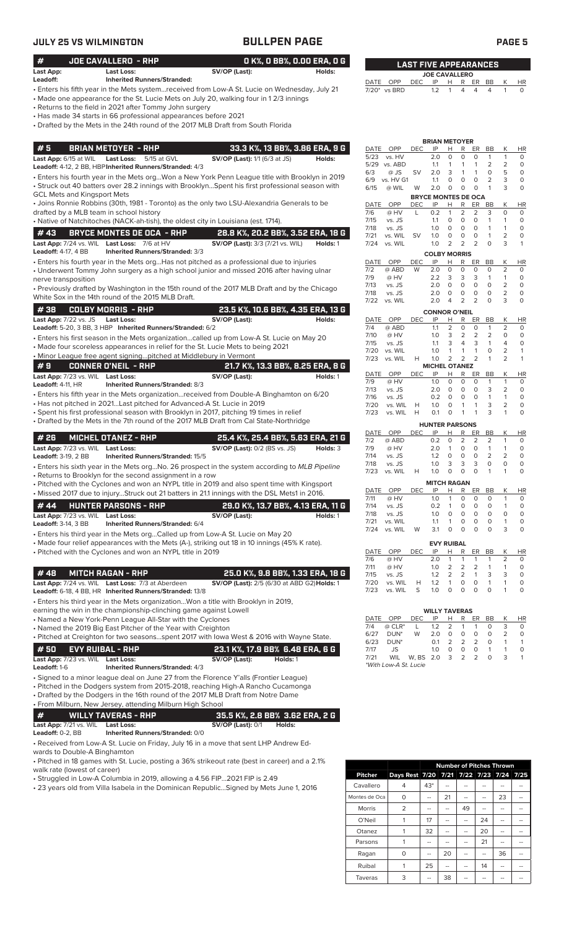|                                                           | JULY 25 VS WILMINGTON                                                                                                                                                                                                                                                                                                                                                                                     |                                                    | <b>BULLPEN PAGE</b>                          | PAGE <sub>5</sub>                                            |                                               |                                                              |                                                                         |                             |                                     |
|-----------------------------------------------------------|-----------------------------------------------------------------------------------------------------------------------------------------------------------------------------------------------------------------------------------------------------------------------------------------------------------------------------------------------------------------------------------------------------------|----------------------------------------------------|----------------------------------------------|--------------------------------------------------------------|-----------------------------------------------|--------------------------------------------------------------|-------------------------------------------------------------------------|-----------------------------|-------------------------------------|
| #                                                         | JOE CAVALLERO - RHP                                                                                                                                                                                                                                                                                                                                                                                       |                                                    | O K%, O BB%, O.OO ERA, O G                   |                                                              | <b>LAST FIVE APPEARANCES</b>                  |                                                              |                                                                         |                             |                                     |
| Last App:<br>Leadoff:                                     | <b>Last Loss:</b><br><b>Inherited Runners/Stranded:</b>                                                                                                                                                                                                                                                                                                                                                   | SV/OP (Last):                                      | Holds:                                       |                                                              |                                               | <b>JOE CAVALLERO</b>                                         |                                                                         |                             |                                     |
|                                                           | Enters his fifth year in the Mets system…received from Low-A St. Lucie on Wednesday, July 21 -<br>• Made one appearance for the St. Lucie Mets on July 20, walking four in 12/3 innings<br>• Returns to the field in 2021 after Tommy John surgery<br>• Has made 34 starts in 66 professional appearances before 2021<br>• Drafted by the Mets in the 24th round of the 2017 MLB Draft from South Florida |                                                    |                                              | DATE OPP<br>7/20* vs BRD                                     | DEC<br>IP<br>1.2                              | H<br>$\mathbf{1}$<br>4                                       | R ER<br>BB<br>$\overline{4}$<br>$\overline{4}$                          | Κ<br>1                      | <b>HR</b><br>$\circ$                |
| #5                                                        | <b>BRIAN METOYER - RHP</b>                                                                                                                                                                                                                                                                                                                                                                                |                                                    | 33.3 K%, 13 BB%, 3.86 ERA, 9 G               | DATE<br>OPP                                                  | <b>DEC</b><br>IP                              | <b>BRIAN METOYER</b><br>R<br>н                               | ER<br>BB                                                                | Κ                           | HR                                  |
| Last App: 6/15 at WIL                                     | <b>Last Loss:</b><br>5/15 at GVL<br>Leadoff: 4-12, 2 BB, HBP Inherited Runners/Stranded: 4/3                                                                                                                                                                                                                                                                                                              | <b>SV/OP (Last):</b> 1/1 (6/3 at JS)               | Holds:                                       | 5/23<br>vs. HV<br>5/29 vs. ABD<br>6/3<br>@ JS                | 2.0<br>1.1<br><b>SV</b><br>2.0                | $\circ$<br>$\circ$<br>1<br>1<br>3<br>$\mathbf{1}$            | $\circ$<br>$\mathbf{1}$<br>$\mathbf{1}$<br>2<br>$\mathbf{1}$<br>$\circ$ | $\mathbf{1}$<br>2<br>5      | $\circ$<br>$\circ$<br>$\circ$       |
| <b>GCL Mets and Kingsport Mets</b>                        | · Enters his fourth year in the Mets orgWon a New York Penn League title with Brooklyn in 2019<br>· Struck out 40 batters over 28.2 innings with BrooklynSpent his first professional season with<br>• Joins Ronnie Robbins (30th, 1981 - Toronto) as the only two LSU-Alexandria Generals to be                                                                                                          |                                                    |                                              | 6/9<br>vs. HV G1<br>6/15<br>@ WIL                            | 1.1<br>W<br>2.0<br><b>BRYCE MONTES DE OCA</b> | $\circ$<br>0<br>$\circ$<br>$\circ$                           | $\circ$<br>$\overline{2}$<br>$\circ$<br>1                               | 3<br>3                      | $\circ$<br>$\circ$                  |
|                                                           | drafted by a MLB team in school history<br>· Native of Natchitoches (NACK-ah-tish), the oldest city in Louisiana (est. 1714).                                                                                                                                                                                                                                                                             |                                                    |                                              | OPP<br>DATE<br>7/6<br>@ HV<br>7/15<br>vs. JS                 | DEC<br>IP<br>L<br>0.2<br>1.1                  | Н<br>R<br>$\overline{2}$<br>$\mathbf{1}$<br>$\mathbf 0$<br>0 | ER<br><b>BB</b><br>$\overline{2}$<br>3<br>$\circ$<br>$\mathbf{1}$       | Κ<br>0<br>1                 | HR<br>$\circ$<br>$\circ$            |
| #43                                                       | <b>BRYCE MONTES DE OCA - RHP</b>                                                                                                                                                                                                                                                                                                                                                                          | 28.8 K%, 20.2 BB%, 3.52 ERA, 18 G                  |                                              | 7/18<br>vs. JS                                               | 1.0                                           | $\mathbf 0$<br>0                                             | $\mathbf{1}$<br>0                                                       | 1                           | $\circ$                             |
|                                                           | Last App: 7/24 vs. WIL Last Loss: 7/6 at HV                                                                                                                                                                                                                                                                                                                                                               | <b>SV/OP (Last):</b> 3/3 (7/21 vs. WIL)            | Holds: 1                                     | 7/21<br>vs. WIL<br>7/24<br>vs. WIL                           | <b>SV</b><br>1.0<br>1.0                       | $\mathbf 0$<br>0<br>2<br>2                                   | $\circ$<br>1<br>$\overline{2}$<br>$\circ$                               | 2<br>3                      | $\circ$<br>$\mathbf{1}$             |
| <b>Leadoff:</b> 4-17, 4 BB                                | Inherited Runners/Stranded: 3/3                                                                                                                                                                                                                                                                                                                                                                           |                                                    |                                              |                                                              |                                               | <b>COLBY MORRIS</b>                                          |                                                                         |                             |                                     |
| nerve transposition                                       | $\bullet$ Enters his fourth year in the Mets orgHas not pitched as a professional due to injuries<br>• Underwent Tommy John surgery as a high school junior and missed 2016 after having ulnar                                                                                                                                                                                                            |                                                    |                                              | OPP<br>DATE<br>7/2<br>@ ABD<br>7/9<br>@ HV<br>7/13<br>vs. JS | IP<br><b>DEC</b><br>2.0<br>W<br>2.2<br>2.0    | н<br>R<br>$\mathbf 0$<br>0<br>3<br>3<br>$\circ$<br>$\circ$   | ER<br>BB<br>$\circ$<br>0<br>3<br>1<br>$\circ$<br>$\circ$                | К<br>2<br>$\mathbf{1}$<br>2 | HR<br>$\circ$<br>$\circ$<br>$\circ$ |
|                                                           | • Previously drafted by Washington in the 15th round of the 2017 MLB Draft and by the Chicago<br>White Sox in the 14th round of the 2015 MLB Draft.                                                                                                                                                                                                                                                       |                                                    |                                              | 7/18<br>vs. JS                                               | 2.0                                           | 0<br>0                                                       | $\circ$<br>$\circ$                                                      | 2                           | $\circ$                             |
|                                                           |                                                                                                                                                                                                                                                                                                                                                                                                           |                                                    |                                              | 7/22<br>vs. WIL                                              | 2.0                                           | 2<br>$\overline{4}$                                          | $\overline{2}$<br>$\circ$                                               | 3                           | $\circ$                             |
| #38<br>Last App: 7/22 vs. JS Last Loss:                   | <b>COLBY MORRIS - RHP</b>                                                                                                                                                                                                                                                                                                                                                                                 | 23.5 K%, 10.6 BB%, 4.35 ERA, 13 G<br>SV/OP (Last): | Holds:                                       |                                                              |                                               | <b>CONNOR O'NEIL</b>                                         |                                                                         |                             |                                     |
|                                                           | Leadoff: 5-20, 3 BB, 3 HBP Inherited Runners/Stranded: 6/2                                                                                                                                                                                                                                                                                                                                                |                                                    |                                              | DATE OPP<br>7/4<br>@ ABD                                     | <b>DEC</b><br>IP<br>1.1                       | Н<br>R<br>2<br>$\circ$                                       | ER<br>BB<br>$\circ$<br>$\mathbf{1}$                                     | К<br>$\overline{2}$         | HR<br>$\circ$                       |
|                                                           | · Enters his first season in the Mets organizationcalled up from Low-A St. Lucie on May 20                                                                                                                                                                                                                                                                                                                |                                                    |                                              | 7/10<br>@ HV                                                 | 1.0                                           | 2<br>3                                                       | 2<br>2                                                                  | 0                           | $\circ$                             |
|                                                           | • Made four scoreless appearances in relief for the St. Lucie Mets to being 2021                                                                                                                                                                                                                                                                                                                          |                                                    |                                              | 7/15<br>vs. JS<br>vs. WIL<br>7/20                            | 1.1<br>1.0                                    | 3<br>4<br>$\mathbf{1}$<br>$\mathbf{1}$                       | 3<br>$\mathbf{1}$<br>$\mathbf{1}$<br>$\circ$                            | 4<br>2                      | $\circ$<br>$\mathbf{1}$             |
|                                                           | • Minor League free agent signingpitched at Middlebury in Vermont                                                                                                                                                                                                                                                                                                                                         |                                                    |                                              | 7/23<br>vs. WIL                                              | H<br>1.0                                      | $\overline{2}$<br>2                                          | $\overline{2}$<br>$\mathbf{1}$                                          | $\overline{2}$              | $\mathbf{1}$                        |
| #9<br>Last App: 7/23 vs. WIL Last Loss:                   | <b>CONNER O'NEIL - RHP</b>                                                                                                                                                                                                                                                                                                                                                                                |                                                    | 21.7 K%, 13.3 BB%, 8.25 ERA, 8 G<br>Holds: 1 | DATE<br>OPP                                                  | <b>DEC</b><br>IP                              | <b>MICHEL OTANEZ</b><br>н<br>R                               | ER<br>BB                                                                | К                           | HR                                  |
| <b>Leadoff: 4-11, HR</b>                                  | Inherited Runners/Stranded: 8/3                                                                                                                                                                                                                                                                                                                                                                           | SV/OP (Last):                                      |                                              | 7/9<br>@ HV                                                  | 1.0                                           | 0<br>0                                                       | $\circ$<br>$\mathbf{1}$                                                 | $\mathbf{1}$                | 0                                   |
|                                                           | • Enters his fifth year in the Mets organization…received from Double-A Binghamton on 6/20                                                                                                                                                                                                                                                                                                                |                                                    |                                              | 7/13<br>vs. JS<br>7/16<br>vs. JS                             | 2.0<br>0.2                                    | $\circ$<br>$\circ$<br>$\circ$<br>0                           | $\circ$<br>3<br>$\circ$<br>$\mathbf{1}$                                 | 2<br>$\mathbf{1}$           | $\circ$<br>$\circ$                  |
|                                                           | • Has not pitched in 2021Last pitched for Advanced-A St. Lucie in 2019<br>· Spent his first professional season with Brooklyn in 2017, pitching 19 times in relief<br>• Drafted by the Mets in the 7th round of the 2017 MLB Draft from Cal State-Northridge                                                                                                                                              |                                                    |                                              | 7/20<br>vs. WIL<br>7/23<br>vs. WIL                           | 1.0<br>Н<br>Н<br>0.1                          | $\mathbf{1}$<br>0<br>0<br>1                                  | 3<br>$\mathbf{1}$<br>3<br>1                                             | 2<br>1                      | $\circ$<br>$\circ$                  |
|                                                           |                                                                                                                                                                                                                                                                                                                                                                                                           |                                                    |                                              | OPP<br>DATE                                                  | IP<br><b>DEC</b>                              | <b>HUNTER PARSONS</b><br>R<br>Н                              | ER<br><b>BB</b>                                                         | Κ                           | HR                                  |
| # 26                                                      | <b>MICHEL OTANEZ - RHP</b>                                                                                                                                                                                                                                                                                                                                                                                | 25.4 K%, 25.4 BB%, 5.63 ERA, 21 G                  |                                              | 7/2<br>@ ABD                                                 | 0.2                                           | $\circ$<br>2                                                 | 2<br>2                                                                  | 1                           | $\circ$                             |
| Leadoff: 3-19, 2 BB                                       | Last App: 7/23 vs. WIL Last Loss:<br>Inherited Runners/Stranded: 15/5                                                                                                                                                                                                                                                                                                                                     | $SV/OP$ (Last): $0/2$ (BS vs. JS) Holds: 3         |                                              | 7/9<br>@ HV<br>7/14<br>vs. JS                                | 1.2                                           | 2.0 1 0<br>$\circ$<br>$\circ$                                | $\Omega$<br>$\overline{1}$<br>$\circ$<br>$\overline{2}$                 | 1<br>2                      | $\Omega$<br>$\circ$                 |
|                                                           | • Enters his sixth year in the Mets orgNo. 26 prospect in the system according to MLB Pipeline                                                                                                                                                                                                                                                                                                            |                                                    |                                              | 7/18<br>vs. JS                                               | 1.0                                           | 3<br>3                                                       | 3<br>0                                                                  | 0                           | 0                                   |
|                                                           | • Returns to Brooklyn for the second assignment in a row                                                                                                                                                                                                                                                                                                                                                  |                                                    |                                              | 7/23<br>vs. WIL                                              | 1.0<br>н                                      | $\circ$<br>0                                                 | $\circ$<br>$\mathbf{1}$                                                 | 1                           | 0                                   |
|                                                           | • Pitched with the Cyclones and won an NYPL title in 2019 and also spent time with Kingsport                                                                                                                                                                                                                                                                                                              |                                                    |                                              |                                                              |                                               | <b>MITCH RAGAN</b>                                           |                                                                         |                             |                                     |
|                                                           | • Missed 2017 due to injuryStruck out 21 batters in 21.1 innings with the DSL Mets1 in 2016.                                                                                                                                                                                                                                                                                                              |                                                    |                                              | OPP<br>DATE<br>7/11<br>@ HV                                  | <b>DEC</b><br>IP<br>1.0                       | Н.<br>$\mathsf{R}$<br>0<br>1                                 | ER<br>BB<br>0<br>0                                                      | Κ<br>1                      | HR<br>0                             |
| # 44                                                      | <b>HUNTER PARSONS - RHP</b>                                                                                                                                                                                                                                                                                                                                                                               |                                                    | 29.0 K%, 13.7 BB%, 4.13 ERA, 11 G            | 7/14<br>vs. JS                                               | 0.2                                           | $\overline{1}$<br>0                                          | 0<br>0                                                                  | 1                           | 0                                   |
| Last App: 7/23 vs. WIL Last Loss:<br>Leadoff: 3-14, 3 BB  | Inherited Runners/Stranded: 6/4                                                                                                                                                                                                                                                                                                                                                                           | SV/OP (Last):                                      | Holds: 1                                     | 7/18<br>vs. JS<br>7/21<br>vs. WIL                            | 1.0<br>1.1                                    | 0<br>0<br>$\mathbf{1}$<br>0                                  | 0<br>$\circ$<br>0<br>0                                                  | 0<br>1                      | $\circ$<br>$\circ$                  |
|                                                           | • Enters his third year in the Mets orgCalled up from Low-A St. Lucie on May 20                                                                                                                                                                                                                                                                                                                           |                                                    |                                              | 7/24 vs. WIL                                                 | 3.1<br>W                                      | $\circ$<br>O                                                 | 0<br>$\circ$                                                            | 3                           | $\circ$                             |
|                                                           | • Made four relief appearances with the Mets (A-), striking out 18 in 10 innings (45% K rate).                                                                                                                                                                                                                                                                                                            |                                                    |                                              |                                                              |                                               | <b>EVY RUIBAL</b>                                            |                                                                         |                             |                                     |
|                                                           | • Pitched with the Cyclones and won an NYPL title in 2019                                                                                                                                                                                                                                                                                                                                                 |                                                    |                                              | DATE OPP                                                     | <b>DEC</b><br>IP                              | Н<br>R                                                       | ER<br>BB                                                                | Κ                           | <u>HR</u>                           |
|                                                           |                                                                                                                                                                                                                                                                                                                                                                                                           |                                                    |                                              | 7/6<br>@ HV<br>7/11<br>@ HV                                  | 2.0<br>1.0                                    | $\mathbf{1}$<br>$\mathbf{1}$<br>$\overline{2}$<br>2          | $\mathbf{1}$<br>1<br>$\overline{2}$<br>1                                | 2<br>1                      | 0<br>0                              |
| #48                                                       | <b>MITCH RAGAN - RHP</b>                                                                                                                                                                                                                                                                                                                                                                                  |                                                    | 25.0 K%, 9.8 BB%, 1.33 ERA, 18 G             | 7/15<br>vs. JS                                               | 1.2                                           | $\overline{2}$<br>$\overline{2}$                             | $\mathbf{1}$<br>3                                                       | 3                           | 0                                   |
|                                                           | Last App: 7/24 vs. WIL Last Loss: 7/3 at Aberdeen<br>Leadoff: 6-18, 4 BB, HR Inherited Runners/Stranded: 13/8                                                                                                                                                                                                                                                                                             | SV/OP (Last): 2/5 (6/30 at ABD G2) Holds: 1        |                                              | 7/20<br>vs. WIL<br>7/23<br>vs. WIL                           | н<br>1.2<br>S<br>1.0                          | $\mathbf{1}$<br>0<br>$\circ$<br>0                            | 0<br>$\mathbf{1}$<br>$\circ$<br>$\circ$                                 | 1<br>1                      | 0<br>0                              |
|                                                           | • Enters his third year in the Mets organizationWon a title with Brooklyn in 2019,                                                                                                                                                                                                                                                                                                                        |                                                    |                                              |                                                              |                                               |                                                              |                                                                         |                             |                                     |
|                                                           | earning the win in the championship-clinching game against Lowell                                                                                                                                                                                                                                                                                                                                         |                                                    |                                              |                                                              |                                               | <b>WILLY TAVERAS</b>                                         |                                                                         |                             |                                     |
|                                                           | • Named a New York-Penn League All-Star with the Cyclones                                                                                                                                                                                                                                                                                                                                                 |                                                    |                                              | DATE OPP<br>7/4                                              | DEC<br>IP                                     | H<br>R<br>2                                                  | BB<br>ER                                                                | Κ<br>3                      | HR                                  |
|                                                           | • Named the 2019 Big East Pitcher of the Year with Creighton<br>• Pitched at Creighton for two seasonsspent 2017 with lowa West & 2016 with Wayne State.                                                                                                                                                                                                                                                  |                                                    |                                              | $@$ $CLR^*$<br>6/27<br>DUN <sup>*</sup>                      | 1.2<br>L<br>W<br>2.0                          | 1<br>0<br>0                                                  | 1<br>0<br>0<br>0                                                        | 2                           | 0<br>0                              |
|                                                           |                                                                                                                                                                                                                                                                                                                                                                                                           |                                                    |                                              | 6/23<br>DUN <sup>*</sup>                                     | 0.1                                           | 2<br>2                                                       | 2<br>0                                                                  | 1                           | $\overline{1}$                      |
| # 50<br>Last App: 7/23 vs. WIL Last Loss:<br>Leadoff: 1-6 | <b>EVY RUIBAL - RHP</b><br>Inherited Runners/Stranded: 4/3                                                                                                                                                                                                                                                                                                                                                | 23.1 K%, 17.9 BB% 6.48 ERA, 6 G<br>SV/OP (Last):   | Holds: 1                                     | 7/17<br>JS<br>7/21<br><b>WIL</b><br>*With Low-A St. Lucie    | 1.0<br>W, BS 2.0                              | 0<br>0<br>3<br>2                                             | 0<br>$\mathbf{1}$<br>2<br>$\circ$                                       | 1<br>3                      | 0<br>$\mathbf{1}$                   |
|                                                           | • Signed to a minor league deal on June 27 from the Florence Y'alls (Frontier League)                                                                                                                                                                                                                                                                                                                     |                                                    |                                              |                                                              |                                               |                                                              |                                                                         |                             |                                     |
|                                                           | • Pitched in the Dodgers system from 2015-2018, reaching High-A Rancho Cucamonga<br>• Drafted by the Dodgers in the 16th round of the 2017 MLB Draft from Notre Dame                                                                                                                                                                                                                                      |                                                    |                                              |                                                              |                                               |                                                              |                                                                         |                             |                                     |
|                                                           | • From Milburn, New Jersey, attending Milburn High School                                                                                                                                                                                                                                                                                                                                                 |                                                    |                                              |                                                              |                                               |                                                              |                                                                         |                             |                                     |
| #                                                         | <b>WILLY TAVERAS - RHP</b>                                                                                                                                                                                                                                                                                                                                                                                | 35.5 K%, 2.8 BB% 3.62 ERA, 2 G                     |                                              |                                                              |                                               |                                                              |                                                                         |                             |                                     |
| Last App: 7/21 vs. WIL Last Loss:                         |                                                                                                                                                                                                                                                                                                                                                                                                           | <b>SV/OP (Last): 0/1</b>                           | Holds:                                       |                                                              |                                               |                                                              |                                                                         |                             |                                     |
| Leadoff: 0-2, BB                                          | Inherited Runners/Stranded: 0/0                                                                                                                                                                                                                                                                                                                                                                           |                                                    |                                              |                                                              |                                               |                                                              |                                                                         |                             |                                     |
| wards to Double-A Binghamton                              | · Received from Low-A St. Lucie on Friday, July 16 in a move that sent LHP Andrew Ed-                                                                                                                                                                                                                                                                                                                     |                                                    |                                              |                                                              |                                               |                                                              |                                                                         |                             |                                     |

• Pitched in 18 games with St. Lucie, posting a 36% strikeout rate (best in career) and a 2.1% walk rate (lowest of career)

• Struggled in Low-A Columbia in 2019, allowing a 4.56 FIP...2021 FIP is 2.49

• 23 years old from Villa Isabela in the Dominican Republic...Signed by Mets June 1, 2016

|                |                                         | <b>Number of Pitches Thrown</b> |    |    |    |    |  |  |  |
|----------------|-----------------------------------------|---------------------------------|----|----|----|----|--|--|--|
| <b>Pitcher</b> | Days Rest 7/20 7/21 7/22 7/23 7/24 7/25 |                                 |    |    |    |    |  |  |  |
| Cavallero      | 4                                       | 43*                             |    |    |    |    |  |  |  |
| Montes de Oca  | $\Omega$                                |                                 | 21 |    |    | 23 |  |  |  |
| <b>Morris</b>  | $\overline{2}$                          |                                 |    | 49 |    |    |  |  |  |
| O'Neil         |                                         | 17                              |    |    | 24 |    |  |  |  |
| Otanez         |                                         | 32                              |    |    | 20 |    |  |  |  |
| Parsons        |                                         |                                 |    |    | 21 |    |  |  |  |
| Ragan          | $\Omega$                                | --                              | 20 |    |    | 36 |  |  |  |
| Ruibal         |                                         | 25                              |    |    | 14 | -- |  |  |  |
| Taveras        | 3                                       |                                 | 38 |    |    |    |  |  |  |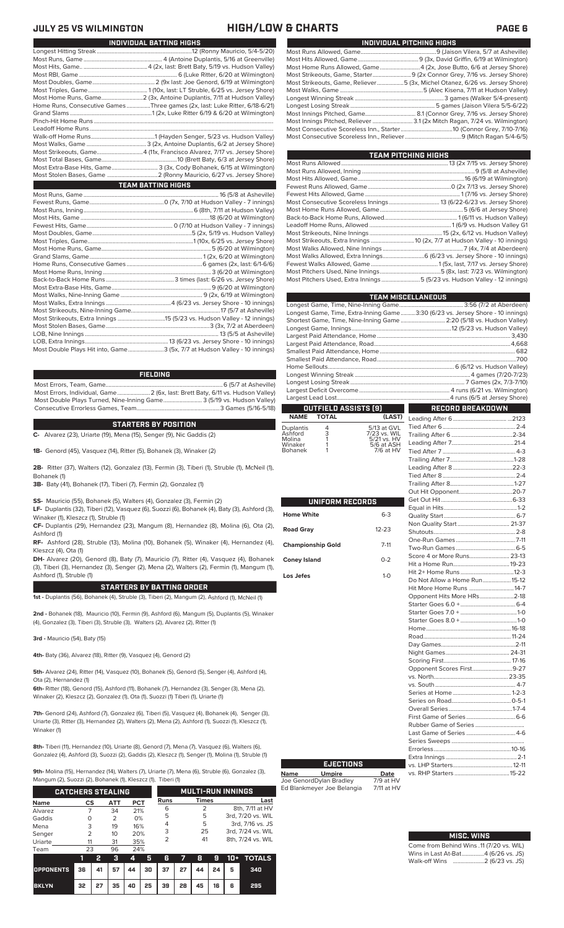### **JULY 25 VS WILMINGTON HIGH/LOW & CHARTS PAGE 6**

| INDIVIDUAL PITCHING HIGHS                                                   |
|-----------------------------------------------------------------------------|
|                                                                             |
|                                                                             |
| Most Home Runs Allowed, Game4 (2x, Jose Butto, 6/6 at Jersey Shore)         |
|                                                                             |
| Most Strikeouts, Game, Reliever5 (3x, Michel Otanez, 6/26 vs. Jersey Shore) |
|                                                                             |
|                                                                             |
|                                                                             |
|                                                                             |
| Most Innings Pitched, Reliever  3.1 (2x Mitch Ragan, 7/24 vs. Wilmington)   |
|                                                                             |
|                                                                             |
|                                                                             |

| TEAM PITCHING HIGHS                                                        |  |
|----------------------------------------------------------------------------|--|
|                                                                            |  |
|                                                                            |  |
|                                                                            |  |
|                                                                            |  |
|                                                                            |  |
|                                                                            |  |
|                                                                            |  |
|                                                                            |  |
|                                                                            |  |
|                                                                            |  |
| Most Strikeouts, Extra Innings  10 (2x, 7/7 at Hudson Valley - 10 innings) |  |
|                                                                            |  |
| Most Walks Allowed, Extra Innings 6 (6/23 vs. Jersey Shore - 10 innings)   |  |
|                                                                            |  |
|                                                                            |  |
| Most Pitchers Used, Extra Innings 5 (5/23 vs. Hudson Valley - 12 innings)  |  |
|                                                                            |  |

|            | <b>TEAM MISCELLANEOUS</b> |                      |                          |                                                                                |  |  |  |  |  |  |
|------------|---------------------------|----------------------|--------------------------|--------------------------------------------------------------------------------|--|--|--|--|--|--|
|            |                           |                      |                          |                                                                                |  |  |  |  |  |  |
|            |                           |                      |                          | Longest Game, Time, Extra-Inning Game3:30 (6/23 vs. Jersey Shore - 10 innings) |  |  |  |  |  |  |
|            |                           |                      |                          | Shortest Game, Time, Nine-Inning Game  2:20 (5/18 vs. Hudson Valley)           |  |  |  |  |  |  |
|            |                           |                      |                          |                                                                                |  |  |  |  |  |  |
|            |                           |                      |                          |                                                                                |  |  |  |  |  |  |
|            |                           |                      |                          |                                                                                |  |  |  |  |  |  |
|            |                           |                      |                          |                                                                                |  |  |  |  |  |  |
|            |                           |                      |                          |                                                                                |  |  |  |  |  |  |
|            |                           |                      |                          |                                                                                |  |  |  |  |  |  |
|            |                           |                      |                          |                                                                                |  |  |  |  |  |  |
|            |                           |                      |                          |                                                                                |  |  |  |  |  |  |
|            |                           |                      |                          |                                                                                |  |  |  |  |  |  |
|            |                           |                      |                          |                                                                                |  |  |  |  |  |  |
|            |                           | OUTFIELD ASSISTS [9] |                          | <b>RECORD BREAKDOWN</b>                                                        |  |  |  |  |  |  |
| NAME TOTAL |                           | (LAST)               |                          |                                                                                |  |  |  |  |  |  |
| uplantis   |                           | 5/13 at GVL          |                          |                                                                                |  |  |  |  |  |  |
| shford     | $rac{4}{3}$               | 7/23 vs. WIL         | $\Gamma$ railing After 6 | $2 - 34$                                                                       |  |  |  |  |  |  |

Trailing After 6

| Duplantis<br>Ashford<br>Molina<br>Winaker | 4<br>3 | 5/13 at GVL<br>7/23 vs. WIL<br>5/21 vs. HV<br>5/6 at ASH |
|-------------------------------------------|--------|----------------------------------------------------------|
|                                           |        |                                                          |
| Bohanek                                   |        | 7/6 at HV                                                |

i<br>I

|                          |           | $\mathsf{C}$                  |
|--------------------------|-----------|-------------------------------|
| UNIFORM RECORDS          |           | $\overline{\phantom{a}}$<br>E |
| <b>Home White</b>        | $6 - 3$   | $\overline{a}$                |
| <b>Road Gray</b>         | $12 - 23$ | ľ                             |
| <b>Championship Gold</b> | $7-11$    | $\frac{1}{2}$                 |
| <b>Coney Island</b>      | $0 - 2$   | ŀ                             |
| Los Jefes                | $1-0$     | ŀ<br>D                        |
|                          |           | ŀ                             |
|                          |           | $\frac{1}{2}$                 |
|                          |           |                               |
|                          |           | ŀ                             |
|                          |           | F                             |
|                          |           | D                             |
|                          |           | ľ                             |
|                          |           | ؟<br>٢                        |
|                          |           | $\overline{\phantom{0}}$      |
|                          |           | \<br>\<br>\<br>\              |
|                          |           |                               |
|                          |           |                               |
|                          |           | F                             |
|                          |           | F<br>L                        |
|                          |           | S                             |
|                          |           | E                             |

**Name Umpire Date** Joe GenordDylan Bradley 7/9 at HV Ed Blankmeyer Joe Belangia 7/11 at HV

**EJECTIONS**

| INDIVIDUAL BATTING HIGHS |                                                                             |  |  |  |  |  |  |
|--------------------------|-----------------------------------------------------------------------------|--|--|--|--|--|--|
|                          |                                                                             |  |  |  |  |  |  |
|                          |                                                                             |  |  |  |  |  |  |
|                          |                                                                             |  |  |  |  |  |  |
|                          |                                                                             |  |  |  |  |  |  |
|                          |                                                                             |  |  |  |  |  |  |
|                          |                                                                             |  |  |  |  |  |  |
|                          | Most Home Runs, Game2 (3x, Antoine Duplantis, 7/11 at Hudson Valley)        |  |  |  |  |  |  |
|                          | Home Runs, Consecutive Games Three games (2x, last: Luke Ritter, 6/18-6/21) |  |  |  |  |  |  |
|                          |                                                                             |  |  |  |  |  |  |
|                          |                                                                             |  |  |  |  |  |  |
|                          |                                                                             |  |  |  |  |  |  |
|                          |                                                                             |  |  |  |  |  |  |
|                          |                                                                             |  |  |  |  |  |  |
|                          | Most Strikeouts, Game4 (11x, Francisco Alvarez, 7/17 vs. Jersey Shore)      |  |  |  |  |  |  |
|                          |                                                                             |  |  |  |  |  |  |
|                          | Most Extra-Base Hits, Game 3 (3x, Cody Bohanek, 6/15 at Wilmington)         |  |  |  |  |  |  |
|                          |                                                                             |  |  |  |  |  |  |
|                          | <b>TEAM BATTING HIGHS</b>                                                   |  |  |  |  |  |  |
|                          |                                                                             |  |  |  |  |  |  |
|                          |                                                                             |  |  |  |  |  |  |
|                          |                                                                             |  |  |  |  |  |  |
|                          |                                                                             |  |  |  |  |  |  |
|                          |                                                                             |  |  |  |  |  |  |
|                          |                                                                             |  |  |  |  |  |  |
|                          |                                                                             |  |  |  |  |  |  |
|                          |                                                                             |  |  |  |  |  |  |
|                          |                                                                             |  |  |  |  |  |  |
|                          |                                                                             |  |  |  |  |  |  |
|                          |                                                                             |  |  |  |  |  |  |
|                          |                                                                             |  |  |  |  |  |  |
|                          |                                                                             |  |  |  |  |  |  |
|                          |                                                                             |  |  |  |  |  |  |
|                          |                                                                             |  |  |  |  |  |  |
|                          |                                                                             |  |  |  |  |  |  |
|                          |                                                                             |  |  |  |  |  |  |
|                          | Most Strikeouts, Extra Innings 15 (5/23 vs. Hudson Valley - 12 innings)     |  |  |  |  |  |  |
|                          |                                                                             |  |  |  |  |  |  |

LOB, Extra Innings........................................................13 (6/23 vs. Jersey Shore - 10 innings) .3 (5x, 7/7 at Hudson Valley - 10 innings)

### **FIELDING**

Most Errors, Team, Game...............................................................................6 (5/7 at Asheville) Most Errors, Individual, Game......................2 (6x, last: Brett Baty, 6/11 vs. Hudson Valley) Most Double Plays Turned, Nine-Inning Game.......................... 3 (5/19 vs. Hudson Valley) Consecutive Errorless Games, Team.

### **STARTERS BY POSITION**

**C-** Alvarez (23), Uriarte (19), Mena (15), Senger (9), Nic Gaddis (2)

**1B-** Genord (45), Vasquez (14), Ritter (5), Bohanek (3), Winaker (2)

**2B-** Ritter (37), Walters (12), Gonzalez (13), Fermin (3), Tiberi (1), Struble (1), McNeil (1), Bohanek (1)

**3B-** Baty (41), Bohanek (17), Tiberi (7), Fermin (2), Gonzalez (1)

**SS-** Mauricio (55), Bohanek (5), Walters (4), Gonzalez (3), Fermin (2)

**LF-** Duplantis (32), Tiberi (12), Vasquez (6), Suozzi (6), Bohanek (4), Baty (3), Ashford (3), Winaker (1), Kleszcz (1), Struble (1)

**CF-** Duplantis (29), Hernandez (23), Mangum (8), Hernandez (8), Molina (6), Ota (2), Ashford (1)

**RF-** Ashford (28), Struble (13), Molina (10), Bohanek (5), Winaker (4), Hernandez (4), Kleszcz (4), Ota (1)

**DH-** Alvarez (20), Genord (8), Baty (7), Mauricio (7), Ritter (4), Vasquez (4), Bohanek (3), Tiberi (3), Hernandez (3), Senger (2), Mena (2), Walters (2), Fermin (1), Mangum (1), Ashford (1), Struble (1)

### **STARTERS BY BATTING ORDER**

**1st -** Duplantis (56), Bohanek (4), Struble (3), Tiberi (2), Mangum (2), Ashford (1), McNeil (1)

**2nd -** Bohanek (18), Mauricio (10), Fermin (9), Ashford (6), Mangum (5), Duplantis (5), Winaker (4), Gonzalez (3), Tiberi (3), Struble (3), Walters (2), Alvarez (2), Ritter (1)

**3rd -** Mauricio (54), Baty (15)

**4th-** Baty (36), Alvarez (18), Ritter (9), Vasquez (4), Genord (2)

**5th-** Alvarez (24), Ritter (14), Vasquez (10), Bohanek (5), Genord (5), Senger (4), Ashford (4), Ota (2), Hernandez (1)

**6th-** Ritter (18), Genord (15), Ashford (11), Bohanek (7), Hernandez (3), Senger (3), Mena (2), Winaker (2), Kleszcz (2), Gonzalez (1), Ota (1), Suozzi (1) Tiberi (1), Uriarte (1)

**7th-** Genord (24), Ashford (7), Gonzalez (6), Tiberi (5), Vasquez (4), Bohanek (4), Senger (3), Uriarte (3), Ritter (3), Hernandez (2), Walters (2), Mena (2), Ashford (1), Suozzi (1), Kleszcz (1), Winaker (1)

**8th-** Tiberi (11), Hernandez (10), Uriarte (8), Genord (7), Mena (7), Vasquez (6), Walters (6), Gonzalez (4), Ashford (3), Suozzi (2), Gaddis (2), Kleszcz (1), Senger (1), Molina (1), Struble (1)

**9th-** Molina (15), Hernandez (14), Walters (7), Uriarte (7), Mena (6), Struble (6), Gonzalez (3),

Mangum (2), Suozzi (2), Bohanek (1), Kleszcz (1), Tiberi (1)  **1 2 3 4 5 6 7 8 9 10+ TOTALS Name CS ATT PCT** Alvarez 7 34 21%<br>
Gaddis 0 2 0%<br>
Mena 3 19 16% Gaddis 0 2 0%<br>
Mena 3 19 16% Mena 3 19 16%<br>Senger 2 10 20% Senger Uriarte 11 31 35% Team 23 96 24% **CATCHERS STEALING MULTI-RUN INNINGS Runs Times Last** <u>6 2 8th, 7/11 at HV</u><br>5 5 3rd 7/20 vs WII 5 5 3rd, 7/20 vs. WIL 4 5 3rd, 7/16 vs. JS 3 25 3rd, 7/24 vs. WIL<br>2 41 8th, 7/24 vs. WIL 2 41 8th, 7/24 vs. WIL

| .     |    |            |      |  |                           |  |  |                         |  |
|-------|----|------------|------|--|---------------------------|--|--|-------------------------|--|
|       |    | <u>тэ.</u> | - 31 |  |                           |  |  | 4 5 6 7 8 9 10 + TOTALS |  |
|       |    |            |      |  |                           |  |  | 340                     |  |
| BKLYN | 32 |            |      |  | 27 35 40 25 39 28 45 16 6 |  |  | 295                     |  |

| Score 4 or More Runs 23-13    |  |
|-------------------------------|--|
|                               |  |
|                               |  |
| Do Not Allow a Home Run 15-12 |  |
| Hit More Home Runs 14-7       |  |
| Opponent Hits More HRs2-18    |  |
|                               |  |
|                               |  |
|                               |  |
|                               |  |
|                               |  |
|                               |  |
|                               |  |
|                               |  |
| Opponent Scores First9-27     |  |
|                               |  |
|                               |  |
|                               |  |
|                               |  |
|                               |  |
|                               |  |
|                               |  |
| Last Game of Series  4-6      |  |
|                               |  |
|                               |  |
|                               |  |
|                               |  |
|                               |  |
|                               |  |

| <b>MISC. WINS</b>                        |
|------------------------------------------|
|                                          |
| Come from Behind Wins .11 (7/20 vs. WIL) |
| Wins in Last At-Bat4 (6/26 vs. JS)       |
| Walk-off Wins  2 (6/23 vs. JS)           |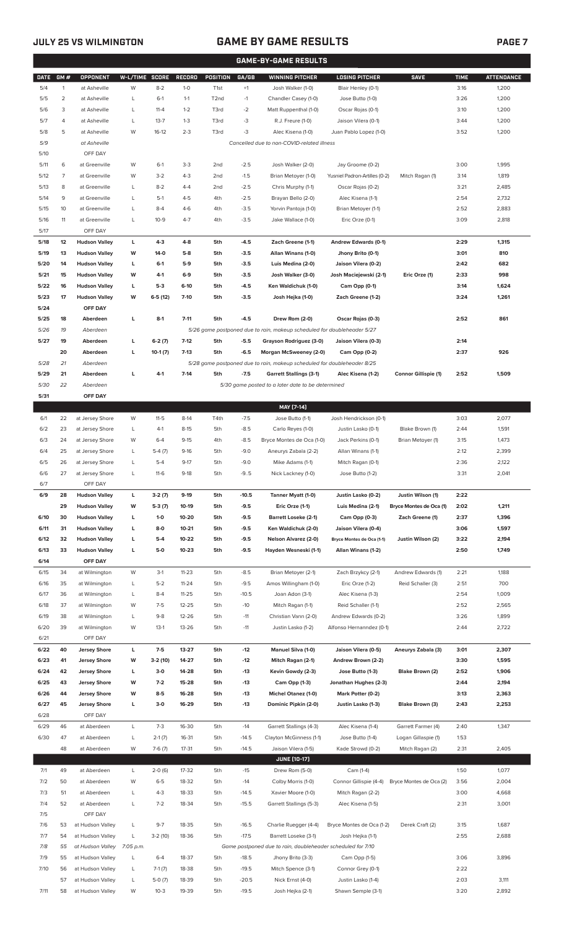## **JULY 25 VS WILMINGTON GAME BY GAME RESULTS**

|--|--|--|

|             | <b>GAME-BY-GAME RESULTS</b> |                      |                |           |               |                   |         |                                                                                     |                               |                         |             |                   |
|-------------|-----------------------------|----------------------|----------------|-----------|---------------|-------------------|---------|-------------------------------------------------------------------------------------|-------------------------------|-------------------------|-------------|-------------------|
| <b>DATE</b> | GM#                         | <b>OPPONENT</b>      | W-L/TIME SCORE |           | <b>RECORD</b> | <b>POSITION</b>   | GA/GB   | <b>WINNING PITCHER</b>                                                              | <b>LOSING PITCHER</b>         | <b>SAVE</b>             | <b>TIME</b> | <b>ATTENDANCE</b> |
| 5/4         | $\mathbf{1}$                | at Asheville         | W              | $8 - 2$   | $1-0$         | T <sub>1st</sub>  | $+1$    | Josh Walker (1-0)                                                                   | Blair Henley (0-1)            |                         | 3:16        | 1,200             |
| 5/5         | $\overline{2}$              | at Asheville         | L              | $6-1$     | $1 - 1$       | T <sub>2</sub> nd | $-1$    | Chandler Casey (1-0)                                                                | Jose Butto (1-0)              |                         | 3:26        | 1,200             |
| 5/6         | 3                           | at Asheville         | L              | $11 - 4$  | $1 - 2$       | T3rd              | $-2$    | Matt Ruppenthal (1-0)                                                               | Oscar Rojas (0-1)             |                         | 3:10        | 1,200             |
| 5/7         | $\overline{4}$              | at Asheville         | L              | $13 - 7$  | $1 - 3$       | T3rd              | $-3$    | R.J. Freure (1-0)                                                                   | Jaison Vilera (0-1)           |                         | 3:44        | 1,200             |
| 5/8         | 5                           | at Asheville         | W              | $16-12$   | $2 - 3$       | T3rd              | $-3$    | Alec Kisena (1-0)                                                                   | Juan Pablo Lopez (1-0)        |                         | 3:52        | 1,200             |
| 5/9         |                             | at Asheville         |                |           |               |                   |         | Cancelled due to non-COVID-related illness                                          |                               |                         |             |                   |
| 5/10        |                             | OFF DAY              |                |           |               |                   |         |                                                                                     |                               |                         |             |                   |
| 5/11        | 6                           | at Greenville        | W              | $6-1$     | $3-3$         | 2 <sub>nd</sub>   | $-2.5$  | Josh Walker (2-0)                                                                   | Jay Groome (0-2)              |                         | 3:00        | 1,995             |
| 5/12        | $\overline{7}$              | at Greenville        | W              | $3-2$     | $4 - 3$       | 2 <sub>nd</sub>   | $-1.5$  | Brian Metoyer (1-0)                                                                 | Yusniel Padron-Artilles (0-2) | Mitch Ragan (1)         | 3:14        | 1,819             |
| 5/13        | 8                           | at Greenville        | L              | $8 - 2$   | $4 - 4$       | 2 <sub>nd</sub>   | $-2.5$  |                                                                                     |                               |                         | 3:21        | 2,485             |
|             |                             |                      |                |           |               |                   |         | Chris Murphy (1-1)                                                                  | Oscar Rojas (0-2)             |                         |             |                   |
| 5/14        | 9                           | at Greenville        | L              | $5-1$     | $4 - 5$       | 4th               | $-2.5$  | Brayan Bello (2-0)                                                                  | Alec Kisena (1-1)             |                         | 2:54        | 2,732             |
| 5/15        | 10                          | at Greenville        | L              | $8 - 4$   | $4-6$         | 4th               | $-3.5$  | Yorvin Pantoja (1-0)                                                                | Brian Metoyer (1-1)           |                         | 2:52        | 2,883             |
| 5/16        | 11                          | at Greenville        | L              | $10-9$    | $4 - 7$       | 4th               | $-3.5$  | Jake Wallace (1-0)                                                                  | Eric Orze (0-1)               |                         | 3:09        | 2,818             |
| 5/17        |                             | OFF DAY              |                |           |               |                   |         |                                                                                     |                               |                         |             |                   |
| 5/18        | 12                          | <b>Hudson Valley</b> | L              | $4 - 3$   | $4 - 8$       | 5th               | -4.5    | Zach Greene (1-1)                                                                   | Andrew Edwards (0-1)          |                         | 2:29        | 1,315             |
| 5/19        | 13                          | <b>Hudson Valley</b> | W              | 14-0      | $5-8$         | 5th               | $-3.5$  | Allan Winans (1-0)                                                                  | Jhony Brito (0-1)             |                         | 3:01        | 810               |
| 5/20        | 14                          | <b>Hudson Valley</b> | L              | $6-1$     | 5-9           | 5th               | $-3.5$  | Luis Medina (2-0)                                                                   | Jaison Vilera (0-2)           |                         | 2:42        | 682               |
| 5/21        | 15                          | <b>Hudson Valley</b> | W              | 4-1       | $6-9$         | 5th               | $-3.5$  | Josh Walker (3-0)                                                                   | Josh Maciejewski (2-1)        | Eric Orze (1)           | 2:33        | 998               |
| 5/22        | 16                          | <b>Hudson Valley</b> | L              | $5-3$     | $6-10$        | 5th               | $-4.5$  | Ken Waldichuk (1-0)                                                                 | Cam Opp (0-1)                 |                         | 3:14        | 1,624             |
| 5/23        | 17                          | <b>Hudson Valley</b> | W              | $6-5(12)$ | $7 - 10$      | 5th               | $-3.5$  | Josh Hejka (1-0)                                                                    | Zach Greene (1-2)             |                         | 3:24        | 1,261             |
| 5/24        |                             | OFF DAY              |                |           |               |                   |         |                                                                                     |                               |                         |             |                   |
| 5/25        | 18                          | Aberdeen             | г              | $8-1$     | $7 - 11$      | 5th               | $-4.5$  | Drew Rom (2-0)                                                                      | Oscar Rojas (0-3)             |                         | 2:52        | 861               |
| 5/26        | 19                          | Aberdeen             |                |           |               |                   |         | 5/26 game postponed due to rain, makeup scheduled for doubleheader 5/27             |                               |                         |             |                   |
| 5/27        | 19                          | Aberdeen             | г              | $6-2(7)$  | $7-12$        | 5th               | $-5.5$  | Grayson Rodriguez (3-0)                                                             | Jaison Vilera (0-3)           |                         | 2:14        |                   |
|             | 20                          | Aberdeen             | г              | $10-1(7)$ | $7-13$        | 5th               | $-6.5$  | Morgan McSweeney (2-0)                                                              | Cam Opp (0-2)                 |                         | 2:37        | 926               |
| 5/28        | 21                          | Aberdeen             |                |           |               |                   |         | 5/28 game postponed due to rain, makeup scheduled for doubleheader 8/25             |                               |                         |             |                   |
| 5/29        | 21                          | Aberdeen             | г              | $4-1$     | $7-14$        | 5th               | $-7.5$  | <b>Garrett Stallings (3-1)</b>                                                      | Alec Kisena (1-2)             | Connor Gillispie (1)    | 2:52        | 1,509             |
| 5/30        | 22                          | Aberdeen             |                |           |               |                   |         | 5/30 game posted to a later date to be determined                                   |                               |                         |             |                   |
| 5/31        |                             | OFF DAY              |                |           |               |                   |         |                                                                                     |                               |                         |             |                   |
|             |                             |                      |                |           |               |                   |         | MAY [7-14]                                                                          |                               |                         |             |                   |
| 6/1         | 22                          | at Jersey Shore      | W              | $11 - 5$  | $8-14$        | T4th              | $-7.5$  | Jose Butto (1-1)                                                                    | Josh Hendrickson (0-1)        |                         | 3:03        | 2,077             |
| 6/2         | 23                          | at Jersey Shore      | L              | $4-1$     | $8-15$        | 5th               | $-8.5$  | Carlo Reyes (1-0)                                                                   | Justin Lasko (0-1)            | Blake Brown (1)         | 2:44        | 1,591             |
| 6/3         | 24                          | at Jersey Shore      | W              | $6 - 4$   | $9 - 15$      | 4th               | $-8.5$  | Bryce Montes de Oca (1-0)                                                           | Jack Perkins (0-1)            | Brian Metoyer (1)       | 3:15        | 1,473             |
| 6/4         | 25                          | at Jersey Shore      | L              | $5-4(7)$  | $9-16$        | 5th               | $-9.0$  | Aneurys Zabala (2-2)                                                                | Allan Winans (1-1)            |                         | 2:12        | 2,399             |
| 6/5         | 26                          | at Jersey Shore      | L              | $5 - 4$   | $9 - 17$      | 5th               | $-9.0$  | Mike Adams (1-1)                                                                    | Mitch Ragan (0-1)             |                         | 2:36        | 2,122             |
| 6/6         | 27                          | at Jersey Shore      | L              | $11-6$    | $9-18$        | 5th               | $-9.5$  | Nick Lackney (1-0)                                                                  | Jose Butto (1-2)              |                         | 3:31        | 2,041             |
| 6/7         |                             | OFF DAY              |                |           |               |                   |         |                                                                                     |                               |                         |             |                   |
| 6/9         | 28                          | <b>Hudson Valley</b> | L              | $3-2(7)$  | $9-19$        | 5th               | $-10.5$ | Tanner Myatt (1-0)                                                                  | Justin Lasko (0-2)            | Justin Wilson (1)       | 2:22        |                   |
|             | 29                          | <b>Hudson Valley</b> | W              | $5-3(7)$  | 10-19         | 5th               | $-9.5$  | Eric Orze (1-1)                                                                     | Luis Medina (2-1)             | Bryce Montes de Oca (1) | 2:02        | 1,211             |
| 6/10        | 30                          | <b>Hudson Valley</b> | г              | $1 - 0$   | 10-20         | 5th               | $-9.5$  | <b>Barrett Loseke (2-1)</b>                                                         | Cam Opp (0-3)                 | Zach Greene (1)         | 2:37        | 1,396             |
| 6/11        | 31                          | <b>Hudson Valley</b> | г              | $8-0$     | $10 - 21$     | 5th               | $-9.5$  | Ken Waldichuk (2-0)                                                                 | Jaison Vilera (0-4)           |                         | 3:06        | 1,597             |
| 6/12        | 32                          | <b>Hudson Valley</b> | г              | $5-4$     | 10-22         | 5th               | $-9.5$  | <b>Nelson Alvarez (2-0)</b>                                                         | Bryce Montes de Oca (1-1)     | Justin Wilson (2)       | 3:22        | 2,194             |
| 6/13        | 33                          | <b>Hudson Valley</b> | г              | 5-0       | $10 - 23$     | 5th               | $-9.5$  | Hayden Wesneski (1-1)                                                               | Allan Winans (1-2)            |                         | 2:50        | 1,749             |
| 6/14        |                             | OFF DAY              |                |           |               |                   |         |                                                                                     |                               |                         |             |                   |
|             | 34                          |                      |                |           |               |                   |         |                                                                                     |                               |                         |             |                   |
| 6/15        |                             | at Wilmington        | W              | $3-1$     | $11 - 23$     | 5th               | $-8.5$  | Brian Metoyer (2-1)                                                                 | Zach Brzykcy (2-1)            | Andrew Edwards (1)      | 2:21        | 1,188             |
| 6/16        | 35                          | at Wilmington        | L              | $5 - 2$   | $11 - 24$     | 5th               | $-9.5$  | Amos Willingham (1-0)                                                               | Eric Orze (1-2)               | Reid Schaller (3)       | 2:51        | 700               |
| 6/17        | 36                          | at Wilmington        | L              | $8 - 4$   | $11 - 25$     | 5th               | $-10.5$ | Joan Adon (3-1)                                                                     | Alec Kisena (1-3)             |                         | 2:54        | 1,009             |
| 6/18        | 37                          | at Wilmington        | W              | $7 - 5$   | $12 - 25$     | 5th               | $-10$   | Mitch Ragan (1-1)                                                                   | Reid Schaller (1-1)           |                         | 2:52        | 2,565             |
| 6/19        | 38                          | at Wilmington        | L              | $9 - 8$   | 12-26         | 5th               | $-11$   | Christian Vann (2-0)                                                                | Andrew Edwards (0-2)          |                         | 3:26        | 1,899             |
| 6/20        | 39                          | at Wilmington        | W              | $13-1$    | $13 - 26$     | 5th               | $-11$   | Justin Lasko (1-2)                                                                  | Alfonso Hernanndez (0-1)      |                         | 2:44        | 2,722             |
| 6/21        |                             | OFF DAY              |                |           |               |                   |         |                                                                                     |                               |                         |             |                   |
| 6/22        | 40                          | <b>Jersey Shore</b>  | L              | $7-5$     | 13-27         | 5th               | $-12$   | <b>Manuel Silva (1-0)</b>                                                           | Jaison Vilera (0-5)           | Aneurys Zabala (3)      | 3:01        | 2,307             |
| 6/23        | 41                          | <b>Jersey Shore</b>  | W              | 3-2 (10)  | 14-27         | 5th               | $-12$   | Mitch Ragan (2-1)                                                                   | Andrew Brown (2-2)            |                         | 3:30        | 1,595             |
| 6/24        | 42                          | <b>Jersey Shore</b>  | L              | $3-0$     | 14-28         | 5th               | $-13$   | Kevin Gowdy (2-3)                                                                   | Jose Butto (1-3)              | Blake Brown (2)         | 2:52        | 1,906             |
| 6/25        | 43                          | <b>Jersey Shore</b>  | W              | $7 - 2$   | 15-28         | 5th               | $-13$   | Cam Opp (1-3)                                                                       | Jonathan Hughes (2-3)         |                         | 2:44        | 2,194             |
| 6/26        | 44                          | <b>Jersey Shore</b>  | W              | $8-5$     | 16-28         | 5th               | $-13$   | Michel Otanez (1-0)                                                                 | Mark Potter (0-2)             |                         | 3:13        | 2,363             |
| 6/27        | 45                          | <b>Jersey Shore</b>  | г              | $3-0$     | 16-29         | 5th               | $-13$   | Dominic Pipkin (2-0)                                                                | Justin Lasko (1-3)            | Blake Brown (3)         | 2:43        | 2,253             |
| 6/28        |                             | OFF DAY              |                |           |               |                   |         |                                                                                     |                               |                         |             |                   |
| 6/29        | 46                          | at Aberdeen          | L              | $7-3$     | 16-30         | 5th               | $-14$   | Garrett Stallings (4-3)                                                             | Alec Kisena (1-4)             | Garrett Farmer (4)      | 2:40        | 1,347             |
| 6/30        | 47                          | at Aberdeen          | L              | $2-1(7)$  | 16-31         | 5th               | $-14.5$ | Clayton McGinness (1-1)                                                             | Jose Butto (1-4)              | Logan Gillaspie (1)     | 1:53        |                   |
|             | 48                          | at Aberdeen          | W              | $7-6(7)$  | 17-31         | 5th               | $-14.5$ | Jaison Vilera (1-5)                                                                 | Kade Strowd (0-2)             | Mitch Ragan (2)         | 2:31        | 2,405             |
|             |                             |                      |                |           |               |                   |         | <b>JUNE [10-17]</b>                                                                 |                               |                         |             |                   |
| 7/1         | 49                          | at Aberdeen          | L              | $2-0(6)$  | 17-32         | 5th               | $-15$   | Drew Rom (5-0)                                                                      | Cam (1-4)                     |                         | 1:50        | 1,077             |
| 7/2         | 50                          | at Aberdeen          | W              | $6 - 5$   | 18-32         | 5th               | $-14$   | Colby Morris (1-0)                                                                  | Connor Gillispie (4-4)        | Bryce Montes de Oca (2) | 3:56        | 2,004             |
| 7/3         | 51                          | at Aberdeen          | L              | $4 - 3$   | 18-33         | 5th               | $-14.5$ | Xavier Moore (1-0)                                                                  | Mitch Ragan (2-2)             |                         | 3:00        | 4,668             |
| 7/4         | 52                          | at Aberdeen          | L              | $7 - 2$   | 18-34         | 5th               | $-15.5$ | Garrett Stallings (5-3)                                                             | Alec Kisena (1-5)             |                         | 2:31        | 3,001             |
| 7/5         |                             | OFF DAY              |                |           |               |                   |         |                                                                                     |                               |                         |             |                   |
| 7/6         | 53                          | at Hudson Valley     | L              | $9 - 7$   | 18-35         | 5th               | $-16.5$ |                                                                                     |                               |                         | 3:15        | 1,687             |
|             |                             |                      |                |           |               | 5th               | $-17.5$ | Charlie Ruegger (4-4)                                                               | Bryce Montes de Oca (1-2)     | Derek Craft (2)         |             |                   |
| 7/7<br>7/8  | 54                          | at Hudson Valley     | L              | $3-2(10)$ | 18-36         |                   |         | Barrett Loseke (3-1)<br>Game postponed due to rain, doubleheader scheduled for 7/10 | Josh Hejka (1-1)              |                         | 2:55        | 2,688             |
|             | 55                          | at Hudson Valley     | 7:05 p.m.      |           |               |                   |         |                                                                                     |                               |                         |             |                   |
| 7/9         | 55                          | at Hudson Valley     | L              | $6 - 4$   | 18-37         | 5th               | $-18.5$ | Jhony Brito (3-3)                                                                   | Cam Opp (1-5)                 |                         | 3:06        | 3,896             |
| 7/10        | 56                          | at Hudson Valley     | L              | $7-1(7)$  | 18-38         | 5th               | $-19.5$ | Mitch Spence (3-1)                                                                  | Connor Grey (0-1)             |                         | 2:22        |                   |
|             | 57                          | at Hudson Valley     | L              | $5-0(7)$  | 18-39         | 5th               | $-20.5$ | Nick Ernst (4-0)                                                                    | Justin Lasko (1-4)            |                         | 2:03        | 3,111             |
| 7/11        |                             | 58 at Hudson Valley  | W              | $10-3$    | 19-39         | 5th               | $-19.5$ | Josh Hejka (2-1)                                                                    | Shawn Semple (3-1)            |                         | 3:20        | 2,892             |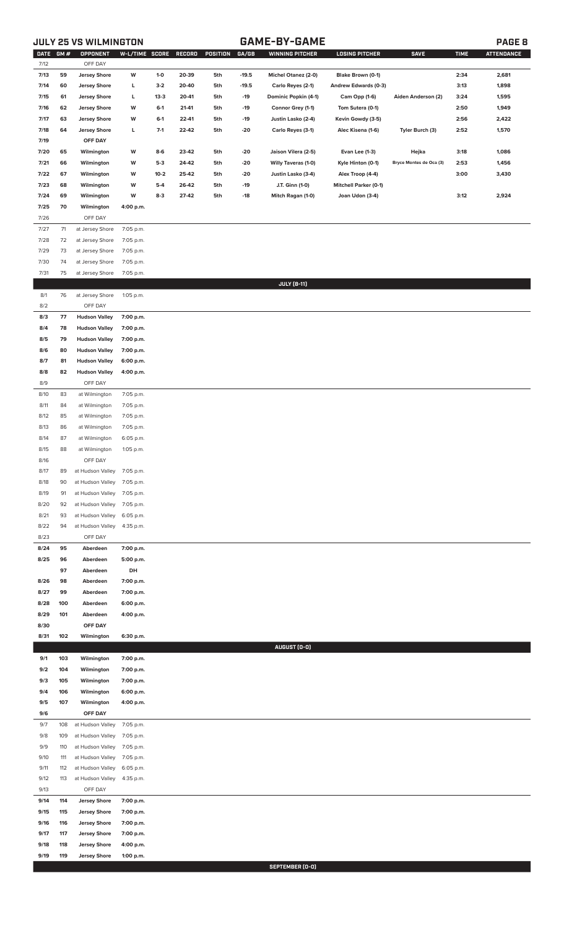## **JULY 25 VS WILMINGTON GAME-BY-GAME PAGE 8**

| DATE GM # |     | OPPONENT             | W-L/TIME SCORE RECORD |         |       | POSITION | GA/GB   | <b>WINNING PITCHER</b> | <b>LOSING PITCHER</b> | <b>SAVE</b>             | <b>TIME</b> | <b>ATTENDANCE</b> |
|-----------|-----|----------------------|-----------------------|---------|-------|----------|---------|------------------------|-----------------------|-------------------------|-------------|-------------------|
| 7/12      |     | OFF DAY              |                       |         |       |          |         |                        |                       |                         |             |                   |
| 7/13      | 59  | <b>Jersey Shore</b>  | W                     | $1-0$   | 20-39 | 5th      | $-19.5$ | Michel Otanez (2-0)    | Blake Brown (0-1)     |                         | 2:34        | 2,681             |
| 7/14      | 60  | <b>Jersey Shore</b>  | L                     | $3-2$   | 20-40 | 5th      | $-19.5$ | Carlo Reyes (2-1)      | Andrew Edwards (0-3)  |                         | 3:13        | 1,898             |
| 7/15      | 61  | <b>Jersey Shore</b>  | L                     | $13-3$  | 20-41 | 5th      | $-19$   | Dominic Popkin (4-1)   | Cam Opp (1-6)         | Aiden Anderson (2)      | 3:24        | 1,595             |
| 7/16      | 62  | <b>Jersey Shore</b>  | W                     | $6-1$   | 21-41 | 5th      | $-19$   | Connor Grey (1-1)      | Tom Sutera (0-1)      |                         | 2:50        | 1,949             |
| 7/17      | 63  | <b>Jersey Shore</b>  | W                     | $6-1$   | 22-41 | 5th      | $-19$   | Justin Lasko (2-4)     | Kevin Gowdy (3-5)     |                         | 2:56        | 2,422             |
| 7/18      | 64  | <b>Jersey Shore</b>  | L                     | $7-1$   | 22-42 | 5th      | $-20$   | Carlo Reyes (3-1)      | Alec Kisena (1-6)     | Tyler Burch (3)         | 2:52        | 1,570             |
| 7/19      |     | OFF DAY              |                       |         |       |          |         |                        |                       |                         |             |                   |
| 7/20      | 65  | Wilmington           | W                     | $8-6$   | 23-42 | 5th      | $-20$   | Jaison Vilera (2-5)    | Evan Lee (1-3)        | Hejka                   | 3:18        | 1,086             |
|           |     |                      | W                     | $5-3$   | 24-42 |          | $-20$   |                        |                       | Bryce Montes de Oca (3) |             | 1,456             |
| 7/21      | 66  | Wilmington           |                       |         |       | 5th      |         | Willy Taveras (1-0)    | Kyle Hinton (0-1)     |                         | 2:53        |                   |
| 7/22      | 67  | Wilmington           | W                     | $10-2$  | 25-42 | 5th      | $-20$   | Justin Lasko (3-4)     | Alex Troop (4-4)      |                         | 3:00        | 3,430             |
| 7/23      | 68  | Wilmington           | W                     | $5-4$   | 26-42 | 5th      | $-19$   | J.T. Ginn (1-0)        | Mitchell Parker (0-1) |                         |             |                   |
| 7/24      | 69  | Wilmington           | W                     | $8 - 3$ | 27-42 | 5th      | $-18$   | Mitch Ragan (1-0)      | Joan Udon (3-4)       |                         | 3:12        | 2,924             |
| 7/25      | 70  | Wilmington           | 4:00 p.m.             |         |       |          |         |                        |                       |                         |             |                   |
| 7/26      |     | OFF DAY              |                       |         |       |          |         |                        |                       |                         |             |                   |
| 7/27      | 71  | at Jersey Shore      | 7:05 p.m.             |         |       |          |         |                        |                       |                         |             |                   |
| 7/28      | 72  | at Jersey Shore      | 7:05 p.m.             |         |       |          |         |                        |                       |                         |             |                   |
| 7/29      | 73  | at Jersey Shore      | 7:05 p.m.             |         |       |          |         |                        |                       |                         |             |                   |
| 7/30      | 74  | at Jersey Shore      | 7:05 p.m.             |         |       |          |         |                        |                       |                         |             |                   |
| 7/31      | 75  | at Jersey Shore      | 7:05 p.m.             |         |       |          |         |                        |                       |                         |             |                   |
|           |     |                      |                       |         |       |          |         | <b>JULY</b> [8-11]     |                       |                         |             |                   |
| 8/1       | 76  | at Jersey Shore      | 1:05 p.m.             |         |       |          |         |                        |                       |                         |             |                   |
| 8/2       |     | OFF DAY              |                       |         |       |          |         |                        |                       |                         |             |                   |
|           |     |                      |                       |         |       |          |         |                        |                       |                         |             |                   |
| 8/3       | 77  | <b>Hudson Valley</b> | 7:00 p.m.             |         |       |          |         |                        |                       |                         |             |                   |
| 8/4       | 78  | <b>Hudson Valley</b> | 7:00 p.m.             |         |       |          |         |                        |                       |                         |             |                   |
| 8/5       | 79  | <b>Hudson Valley</b> | 7:00 p.m.             |         |       |          |         |                        |                       |                         |             |                   |
| 8/6       | 80  | <b>Hudson Valley</b> | 7:00 p.m.             |         |       |          |         |                        |                       |                         |             |                   |
| 8/7       | 81  | <b>Hudson Valley</b> | 6:00 p.m.             |         |       |          |         |                        |                       |                         |             |                   |
| 8/8       | 82  | <b>Hudson Valley</b> | 4:00 p.m.             |         |       |          |         |                        |                       |                         |             |                   |
| 8/9       |     | OFF DAY              |                       |         |       |          |         |                        |                       |                         |             |                   |
| 8/10      | 83  | at Wilmington        | 7:05 p.m.             |         |       |          |         |                        |                       |                         |             |                   |
| 8/11      | 84  | at Wilmington        | 7:05 p.m.             |         |       |          |         |                        |                       |                         |             |                   |
| 8/12      | 85  | at Wilmington        | 7:05 p.m.             |         |       |          |         |                        |                       |                         |             |                   |
| 8/13      | 86  | at Wilmington        | 7:05 p.m.             |         |       |          |         |                        |                       |                         |             |                   |
| 8/14      | 87  | at Wilmington        | 6:05 p.m.             |         |       |          |         |                        |                       |                         |             |                   |
| 8/15      | 88  | at Wilmington        | 1:05 p.m.             |         |       |          |         |                        |                       |                         |             |                   |
| 8/16      |     | OFF DAY              |                       |         |       |          |         |                        |                       |                         |             |                   |
| 8/17      | 89  | at Hudson Valley     | 7:05 p.m.             |         |       |          |         |                        |                       |                         |             |                   |
| 8/18      | 90  | at Hudson Valley     | 7:05 p.m.             |         |       |          |         |                        |                       |                         |             |                   |
| 8/19      | 91  | at Hudson Valley     | 7:05 p.m.             |         |       |          |         |                        |                       |                         |             |                   |
| 8/20      | 92  | at Hudson Valley     | 7:05 p.m.             |         |       |          |         |                        |                       |                         |             |                   |
| 8/21      | 93  | at Hudson Valley     | 6:05 p.m.             |         |       |          |         |                        |                       |                         |             |                   |
| 8/22      | 94  | at Hudson Valley     | 4:35 p.m.             |         |       |          |         |                        |                       |                         |             |                   |
| 8/23      |     | OFF DAY              |                       |         |       |          |         |                        |                       |                         |             |                   |
|           |     |                      |                       |         |       |          |         |                        |                       |                         |             |                   |
| 8/24      | 95  | Aberdeen             | 7:00 p.m.             |         |       |          |         |                        |                       |                         |             |                   |
| 8/25      | 96  | Aberdeen             | 5:00 p.m.             |         |       |          |         |                        |                       |                         |             |                   |
|           | 97  | Aberdeen             | DH                    |         |       |          |         |                        |                       |                         |             |                   |
| 8/26      | 98  | Aberdeen             | 7:00 p.m.             |         |       |          |         |                        |                       |                         |             |                   |
| 8/27      | 99  | Aberdeen             | 7:00 p.m.             |         |       |          |         |                        |                       |                         |             |                   |
| 8/28      | 100 | Aberdeen             | 6:00 p.m.             |         |       |          |         |                        |                       |                         |             |                   |
| 8/29      | 101 | Aberdeen             | 4:00 p.m.             |         |       |          |         |                        |                       |                         |             |                   |
| 8/30      |     | OFF DAY              |                       |         |       |          |         |                        |                       |                         |             |                   |
| 8/31      | 102 | Wilmington           | 6:30 p.m.             |         |       |          |         |                        |                       |                         |             |                   |
|           |     |                      |                       |         |       |          |         | AUGUST (0-0)           |                       |                         |             |                   |
| 9/1       | 103 | Wilmington           | 7:00 p.m.             |         |       |          |         |                        |                       |                         |             |                   |
| 9/2       | 104 | Wilmington           | 7:00 p.m.             |         |       |          |         |                        |                       |                         |             |                   |
| 9/3       | 105 | Wilmington           | 7:00 p.m.             |         |       |          |         |                        |                       |                         |             |                   |
| 9/4       | 106 | Wilmington           | 6:00 p.m.             |         |       |          |         |                        |                       |                         |             |                   |
| 9/5       | 107 | Wilmington           | 4:00 p.m.             |         |       |          |         |                        |                       |                         |             |                   |
| 9/6       |     | OFF DAY              |                       |         |       |          |         |                        |                       |                         |             |                   |
| 9/7       | 108 | at Hudson Valley     | 7:05 p.m.             |         |       |          |         |                        |                       |                         |             |                   |
| 9/8       | 109 | at Hudson Valley     | 7:05 p.m.             |         |       |          |         |                        |                       |                         |             |                   |
| 9/9       | 110 | at Hudson Valley     | 7:05 p.m.             |         |       |          |         |                        |                       |                         |             |                   |
| 9/10      | 111 | at Hudson Valley     | 7:05 p.m.             |         |       |          |         |                        |                       |                         |             |                   |
|           |     |                      |                       |         |       |          |         |                        |                       |                         |             |                   |
| 9/11      | 112 | at Hudson Valley     | 6:05 p.m.             |         |       |          |         |                        |                       |                         |             |                   |
| 9/12      | 113 | at Hudson Valley     | 4:35 p.m.             |         |       |          |         |                        |                       |                         |             |                   |
| 9/13      |     | OFF DAY              |                       |         |       |          |         |                        |                       |                         |             |                   |
| 9/14      | 114 | <b>Jersey Shore</b>  | 7:00 p.m.             |         |       |          |         |                        |                       |                         |             |                   |
| 9/15      | 115 | <b>Jersey Shore</b>  | 7:00 p.m.             |         |       |          |         |                        |                       |                         |             |                   |
| 9/16      | 116 | <b>Jersey Shore</b>  | 7:00 p.m.             |         |       |          |         |                        |                       |                         |             |                   |
| 9/17      | 117 | <b>Jersey Shore</b>  | 7:00 p.m.             |         |       |          |         |                        |                       |                         |             |                   |
| 9/18      | 118 | <b>Jersey Shore</b>  | 4:00 p.m.             |         |       |          |         |                        |                       |                         |             |                   |
| 9/19      | 119 | <b>Jersey Shore</b>  | 1:00 p.m.             |         |       |          |         |                        |                       |                         |             |                   |

**SEPTEMBER (0-0)**